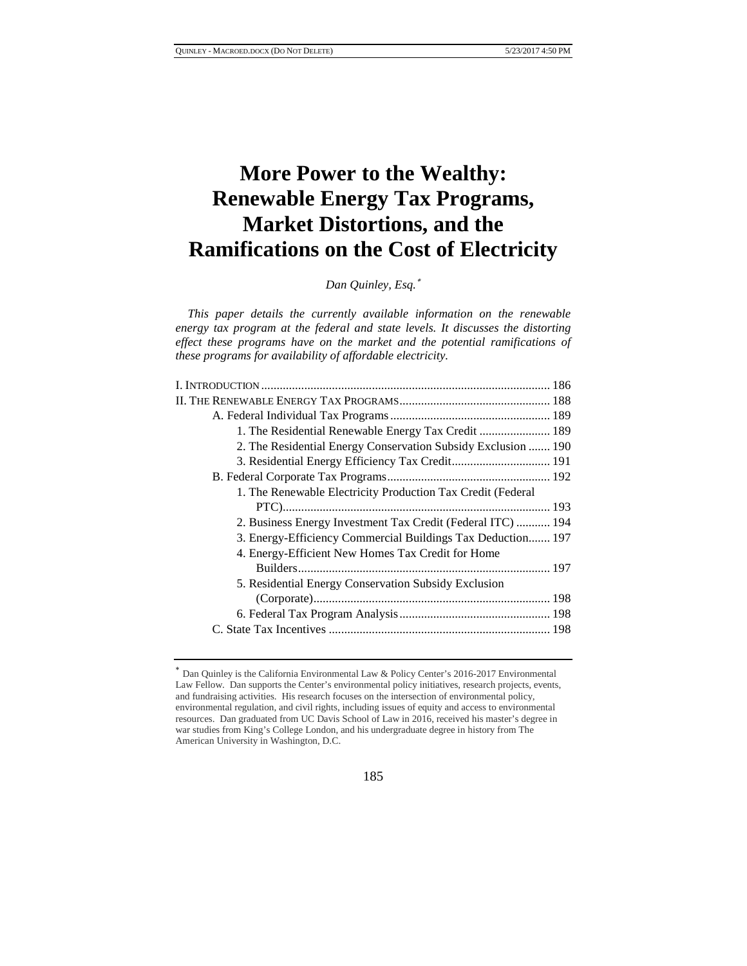# **More Power to the Wealthy: Renewable Energy Tax Programs, Market Distortions, and the Ramifications on the Cost of Electricity**

*Dan Quinley, Esq.*<sup>∗</sup>

*This paper details the currently available information on the renewable energy tax program at the federal and state levels. It discusses the distorting effect these programs have on the market and the potential ramifications of these programs for availability of affordable electricity.*

| 1. The Residential Renewable Energy Tax Credit  189           |  |
|---------------------------------------------------------------|--|
| 2. The Residential Energy Conservation Subsidy Exclusion  190 |  |
| 3. Residential Energy Efficiency Tax Credit 191               |  |
|                                                               |  |
| 1. The Renewable Electricity Production Tax Credit (Federal   |  |
|                                                               |  |
| 2. Business Energy Investment Tax Credit (Federal ITC)  194   |  |
| 3. Energy-Efficiency Commercial Buildings Tax Deduction 197   |  |
| 4. Energy-Efficient New Homes Tax Credit for Home             |  |
|                                                               |  |
| 5. Residential Energy Conservation Subsidy Exclusion          |  |
|                                                               |  |
|                                                               |  |
|                                                               |  |
|                                                               |  |

<sup>∗</sup> Dan Quinley is the California Environmental Law & Policy Center's 2016-2017 Environmental Law Fellow. Dan supports the Center's environmental policy initiatives, research projects, events, and fundraising activities. His research focuses on the intersection of environmental policy, environmental regulation, and civil rights, including issues of equity and access to environmental resources. Dan graduated from UC Davis School of Law in 2016, received his master's degree in war studies from King's College London, and his undergraduate degree in history from The American University in Washington, D.C.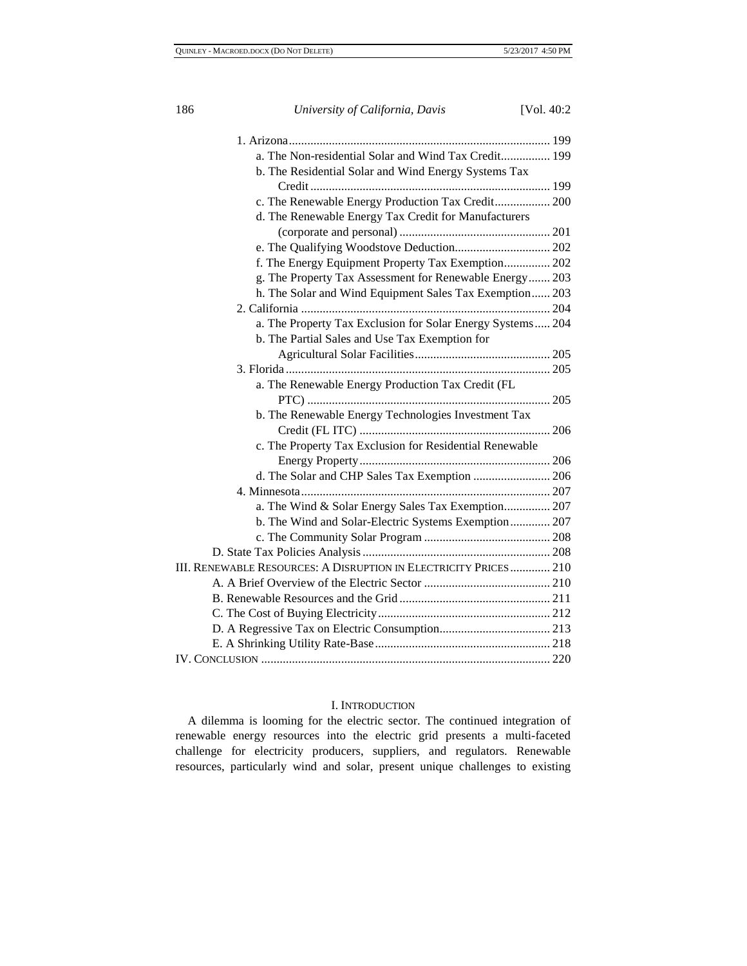| 186 | University of California, Davis                                  | [Vol. $40:2$ |
|-----|------------------------------------------------------------------|--------------|
|     |                                                                  |              |
|     | a. The Non-residential Solar and Wind Tax Credit 199             |              |
|     | b. The Residential Solar and Wind Energy Systems Tax             |              |
|     |                                                                  |              |
|     | c. The Renewable Energy Production Tax Credit 200                |              |
|     | d. The Renewable Energy Tax Credit for Manufacturers             |              |
|     |                                                                  |              |
|     |                                                                  |              |
|     | f. The Energy Equipment Property Tax Exemption 202               |              |
|     | g. The Property Tax Assessment for Renewable Energy 203          |              |
|     | h. The Solar and Wind Equipment Sales Tax Exemption 203          |              |
|     |                                                                  |              |
|     | a. The Property Tax Exclusion for Solar Energy Systems 204       |              |
|     | b. The Partial Sales and Use Tax Exemption for                   |              |
|     |                                                                  |              |
|     |                                                                  |              |
|     | a. The Renewable Energy Production Tax Credit (FL                |              |
|     |                                                                  |              |
|     | b. The Renewable Energy Technologies Investment Tax              |              |
|     |                                                                  |              |
|     | c. The Property Tax Exclusion for Residential Renewable          |              |
|     |                                                                  |              |
|     | d. The Solar and CHP Sales Tax Exemption  206                    |              |
|     |                                                                  |              |
|     | a. The Wind & Solar Energy Sales Tax Exemption 207               |              |
|     | b. The Wind and Solar-Electric Systems Exemption 207             |              |
|     |                                                                  |              |
|     |                                                                  |              |
|     | III. RENEWABLE RESOURCES: A DISRUPTION IN ELECTRICITY PRICES 210 |              |
|     |                                                                  |              |
|     |                                                                  |              |
|     |                                                                  |              |
|     |                                                                  |              |
|     |                                                                  |              |
|     |                                                                  |              |

# I. INTRODUCTION

A dilemma is looming for the electric sector. The continued integration of renewable energy resources into the electric grid presents a multi-faceted challenge for electricity producers, suppliers, and regulators. Renewable resources, particularly wind and solar, present unique challenges to existing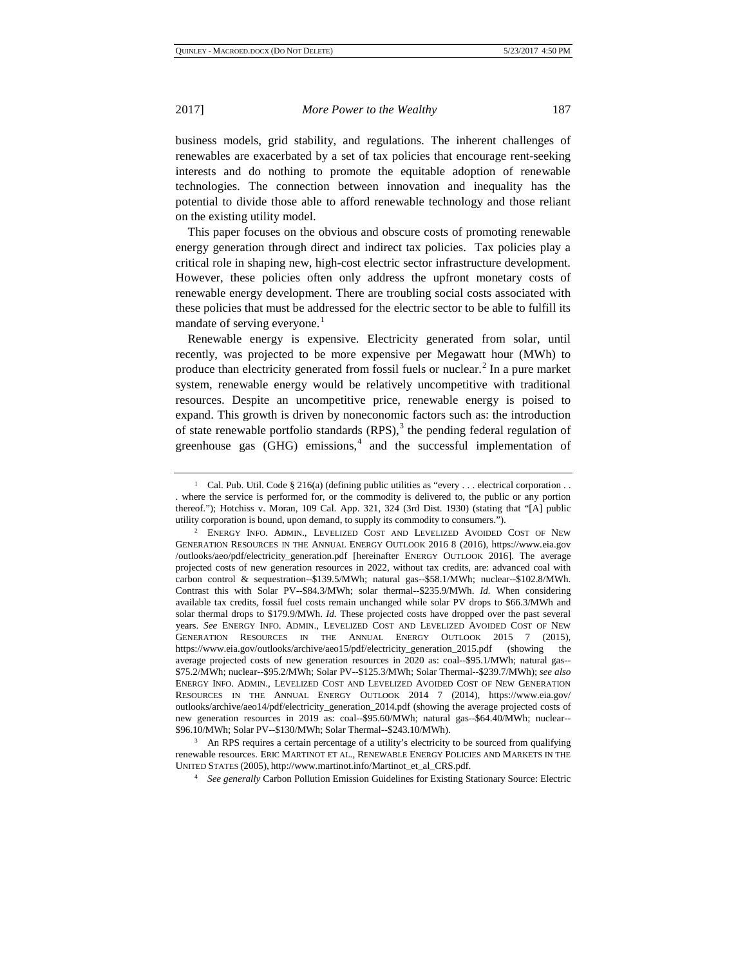business models, grid stability, and regulations. The inherent challenges of renewables are exacerbated by a set of tax policies that encourage rent-seeking interests and do nothing to promote the equitable adoption of renewable technologies. The connection between innovation and inequality has the potential to divide those able to afford renewable technology and those reliant on the existing utility model.

This paper focuses on the obvious and obscure costs of promoting renewable energy generation through direct and indirect tax policies. Tax policies play a critical role in shaping new, high-cost electric sector infrastructure development. However, these policies often only address the upfront monetary costs of renewable energy development. There are troubling social costs associated with these policies that must be addressed for the electric sector to be able to fulfill its mandate of serving everyone.<sup>[1](#page-2-0)</sup>

Renewable energy is expensive. Electricity generated from solar, until recently, was projected to be more expensive per Megawatt hour (MWh) to produce than electricity generated from fossil fuels or nuclear. $<sup>2</sup>$  $<sup>2</sup>$  $<sup>2</sup>$  In a pure market</sup> system, renewable energy would be relatively uncompetitive with traditional resources. Despite an uncompetitive price, renewable energy is poised to expand. This growth is driven by noneconomic factors such as: the introduction of state renewable portfolio standards  $(RPS)$ ,<sup>[3](#page-2-2)</sup> the pending federal regulation of greenhouse gas  $(GHG)$  emissions,<sup>[4](#page-2-3)</sup> and the successful implementation of

<span id="page-2-0"></span><sup>&</sup>lt;sup>1</sup> Cal. Pub. Util. Code § 216(a) (defining public utilities as "every . . . electrical corporation . . . where the service is performed for, or the commodity is delivered to, the public or any portion thereof."); Hotchiss v. Moran, 109 Cal. App. 321, 324 (3rd Dist. 1930) (stating that "[A] public utility corporation is bound, upon demand, to supply its commodity to consumers.").

<span id="page-2-1"></span><sup>2</sup> ENERGY INFO. ADMIN., LEVELIZED COST AND LEVELIZED AVOIDED COST OF NEW GENERATION RESOURCES IN THE ANNUAL ENERGY OUTLOOK 2016 8 (2016), https://www.eia.gov /outlooks/aeo/pdf/electricity\_generation.pdf [hereinafter ENERGY OUTLOOK 2016]. The average projected costs of new generation resources in 2022, without tax credits, are: advanced coal with carbon control & sequestration--\$139.5/MWh; natural gas--\$58.1/MWh; nuclear--\$102.8/MWh. Contrast this with Solar PV--\$84.3/MWh; solar thermal--\$235.9/MWh. *Id.* When considering available tax credits, fossil fuel costs remain unchanged while solar PV drops to \$66.3/MWh and solar thermal drops to \$179.9/MWh. *Id.* These projected costs have dropped over the past several years. *See* ENERGY INFO. ADMIN., LEVELIZED COST AND LEVELIZED AVOIDED COST OF NEW GENERATION RESOURCES IN THE ANNUAL ENERGY OUTLOOK 2015 7 (2015), https://www.eia.gov/outlooks/archive/aeo15/pdf/electricity\_generation\_2015.pdf (showing the average projected costs of new generation resources in 2020 as: coal--\$95.1/MWh; natural gas-- \$75.2/MWh; nuclear--\$95.2/MWh; Solar PV--\$125.3/MWh; Solar Thermal--\$239.7/MWh); *see also*  ENERGY INFO. ADMIN., LEVELIZED COST AND LEVELIZED AVOIDED COST OF NEW GENERATION RESOURCES IN THE ANNUAL ENERGY OUTLOOK 2014 7 (2014), https://www.eia.gov/ outlooks/archive/aeo14/pdf/electricity\_generation\_2014.pdf (showing the average projected costs of new generation resources in 2019 as: coal--\$95.60/MWh; natural gas--\$64.40/MWh; nuclear--

<span id="page-2-3"></span><span id="page-2-2"></span><sup>\$96.10/</sup>MWh; Solar PV--\$130/MWh; Solar Thermal--\$243.10/MWh).<br><sup>3</sup> An RPS requires a certain percentage of a utility's electricity to be sourced from qualifying renewable resources. ERIC MARTINOT ET AL., RENEWABLE ENERGY POLICIES AND MARKETS IN THE UNITED STATES (2005), http://www.martinot.info/Martinot\_et\_al\_CRS.pdf. 4 *See generally* Carbon Pollution Emission Guidelines for Existing Stationary Source: Electric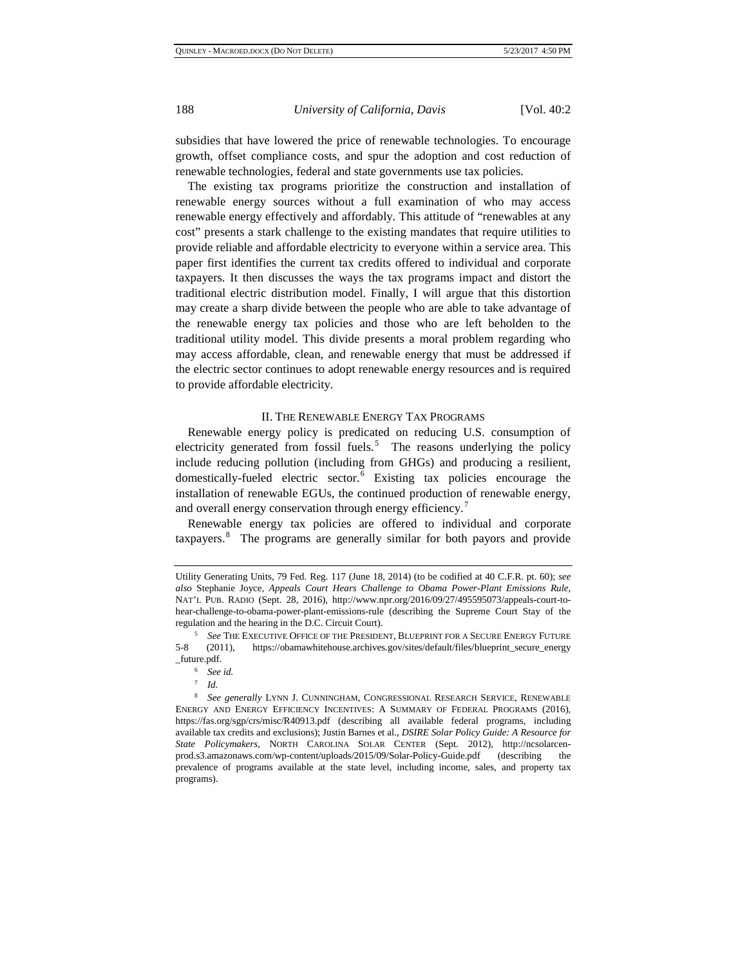subsidies that have lowered the price of renewable technologies. To encourage growth, offset compliance costs, and spur the adoption and cost reduction of renewable technologies, federal and state governments use tax policies.

The existing tax programs prioritize the construction and installation of renewable energy sources without a full examination of who may access renewable energy effectively and affordably. This attitude of "renewables at any cost" presents a stark challenge to the existing mandates that require utilities to provide reliable and affordable electricity to everyone within a service area. This paper first identifies the current tax credits offered to individual and corporate taxpayers. It then discusses the ways the tax programs impact and distort the traditional electric distribution model. Finally, I will argue that this distortion may create a sharp divide between the people who are able to take advantage of the renewable energy tax policies and those who are left beholden to the traditional utility model. This divide presents a moral problem regarding who may access affordable, clean, and renewable energy that must be addressed if the electric sector continues to adopt renewable energy resources and is required to provide affordable electricity.

#### II. THE RENEWABLE ENERGY TAX PROGRAMS

Renewable energy policy is predicated on reducing U.S. consumption of electricity generated from fossil fuels.<sup>[5](#page-3-0)</sup> The reasons underlying the policy include reducing pollution (including from GHGs) and producing a resilient, domestically-fueled electric sector.<sup>[6](#page-3-1)</sup> Existing tax policies encourage the installation of renewable EGUs, the continued production of renewable energy, and overall energy conservation through energy efficiency.<sup>[7](#page-3-2)</sup>

Renewable energy tax policies are offered to individual and corporate taxpayers.<sup>[8](#page-3-3)</sup> The programs are generally similar for both payors and provide

<sup>7</sup> *Id.*

Utility Generating Units, 79 Fed. Reg. 117 (June 18, 2014) (to be codified at 40 C.F.R. pt. 60); *see also* Stephanie Joyce, *Appeals Court Hears Challenge to Obama Power-Plant Emissions Rule*, NAT'L PUB. RADIO (Sept. 28, 2016), http://www.npr.org/2016/09/27/495595073/appeals-court-tohear-challenge-to-obama-power-plant-emissions-rule (describing the Supreme Court Stay of the regulation and the hearing in the D.C. Circuit Court). 5 *See* THE EXECUTIVE OFFICE OF THE PRESIDENT, BLUEPRINT FOR A SECURE ENERGY FUTURE

<span id="page-3-0"></span><sup>5-8 (2011),</sup> https://obamawhitehouse.archives.gov/sites/default/files/blueprint\_secure\_energy \_future.pdf.

<sup>6</sup> *See id.*

<span id="page-3-3"></span><span id="page-3-2"></span><span id="page-3-1"></span><sup>8</sup> *See generally* LYNN J. CUNNINGHAM, CONGRESSIONAL RESEARCH SERVICE, RENEWABLE ENERGY AND ENERGY EFFICIENCY INCENTIVES: A SUMMARY OF FEDERAL PROGRAMS (2016), https://fas.org/sgp/crs/misc/R40913.pdf (describing all available federal programs, including available tax credits and exclusions); Justin Barnes et al., *DSIRE Solar Policy Guide: A Resource for State Policymakers*, NORTH CAROLINA SOLAR CENTER (Sept. 2012), http://ncsolarcenprod.s3.amazonaws.com/wp-content/uploads/2015/09/Solar-Policy-Guide.pdf (describing the prevalence of programs available at the state level, including income, sales, and property tax programs).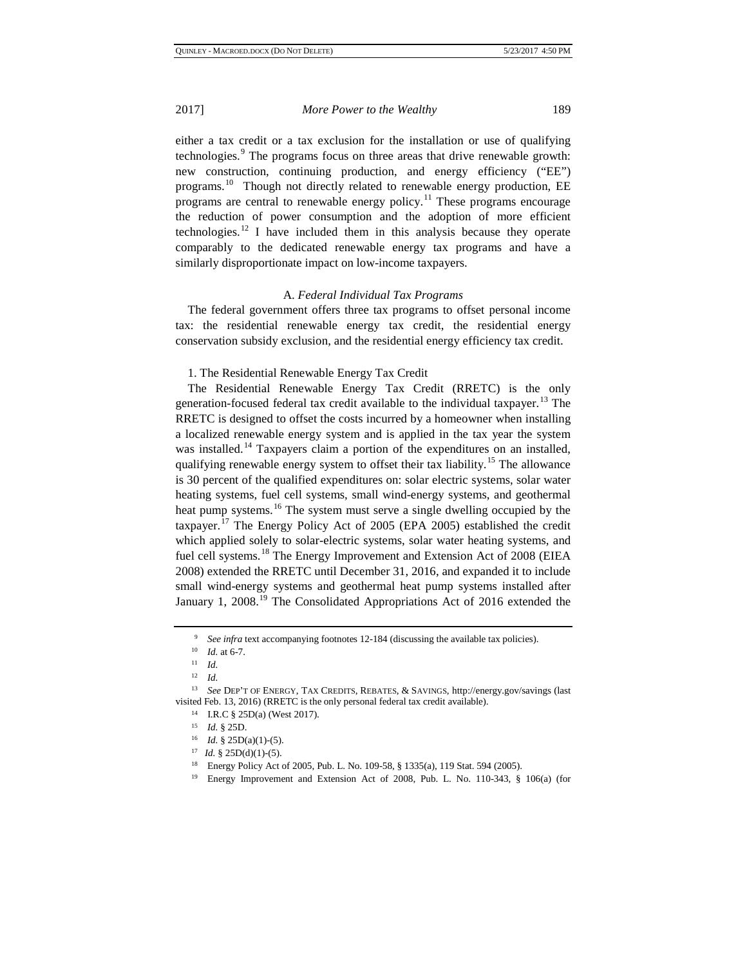either a tax credit or a tax exclusion for the installation or use of qualifying technologies.<sup>[9](#page-4-0)</sup> The programs focus on three areas that drive renewable growth: new construction, continuing production, and energy efficiency ("EE") programs.[10](#page-4-1) Though not directly related to renewable energy production, EE programs are central to renewable energy policy.<sup>[11](#page-4-2)</sup> These programs encourage the reduction of power consumption and the adoption of more efficient technologies.<sup>[12](#page-4-3)</sup> I have included them in this analysis because they operate comparably to the dedicated renewable energy tax programs and have a similarly disproportionate impact on low-income taxpayers.

#### A. *Federal Individual Tax Programs*

The federal government offers three tax programs to offset personal income tax: the residential renewable energy tax credit, the residential energy conservation subsidy exclusion, and the residential energy efficiency tax credit.

#### 1. The Residential Renewable Energy Tax Credit

The Residential Renewable Energy Tax Credit (RRETC) is the only generation-focused federal tax credit available to the individual taxpayer.<sup>[13](#page-4-4)</sup> The RRETC is designed to offset the costs incurred by a homeowner when installing a localized renewable energy system and is applied in the tax year the system was installed.<sup>[14](#page-4-5)</sup> Taxpayers claim a portion of the expenditures on an installed, qualifying renewable energy system to offset their tax liability.<sup>[15](#page-4-6)</sup> The allowance is 30 percent of the qualified expenditures on: solar electric systems, solar water heating systems, fuel cell systems, small wind-energy systems, and geothermal heat pump systems.<sup>[16](#page-4-7)</sup> The system must serve a single dwelling occupied by the taxpayer.[17](#page-4-8) The Energy Policy Act of 2005 (EPA 2005) established the credit which applied solely to solar-electric systems, solar water heating systems, and fuel cell systems.<sup>[18](#page-4-9)</sup> The Energy Improvement and Extension Act of 2008 (EIEA 2008) extended the RRETC until December 31, 2016, and expanded it to include small wind-energy systems and geothermal heat pump systems installed after January 1, 2008.<sup>[19](#page-4-10)</sup> The Consolidated Appropriations Act of 2016 extended the

<sup>9</sup> *See infra* text accompanying footnotes 12-184 (discussing the available tax policies). 10 *Id.* at 6-7.

 $\frac{11}{12}$  *Id.* 

<sup>12</sup> *Id.*

<span id="page-4-8"></span><span id="page-4-7"></span><span id="page-4-6"></span><span id="page-4-5"></span><span id="page-4-4"></span><span id="page-4-3"></span><span id="page-4-2"></span><span id="page-4-1"></span><span id="page-4-0"></span><sup>13</sup> *See* DEP'T OF ENERGY, TAX CREDITS, REBATES, & SAVINGS, http://energy.gov/savings (last visited Feb. 13, 2016) (RRETC is the only personal federal tax credit available). 14 I.R.C § 25D(a) (West 2017).

<sup>15</sup> *Id.* § 25D.

<sup>16</sup> *Id.* § 25D(a)(1)-(5).

<span id="page-4-9"></span><sup>&</sup>lt;sup>17</sup> *Id.* § 25D(d)(1)-(5).<br><sup>18</sup> Energy Policy Act of 2005, Pub. L. No. 109-58, § 1335(a), 119 Stat. 594 (2005).

<span id="page-4-10"></span><sup>&</sup>lt;sup>19</sup> Energy Improvement and Extension Act of 2008, Pub. L. No. 110-343, § 106(a) (for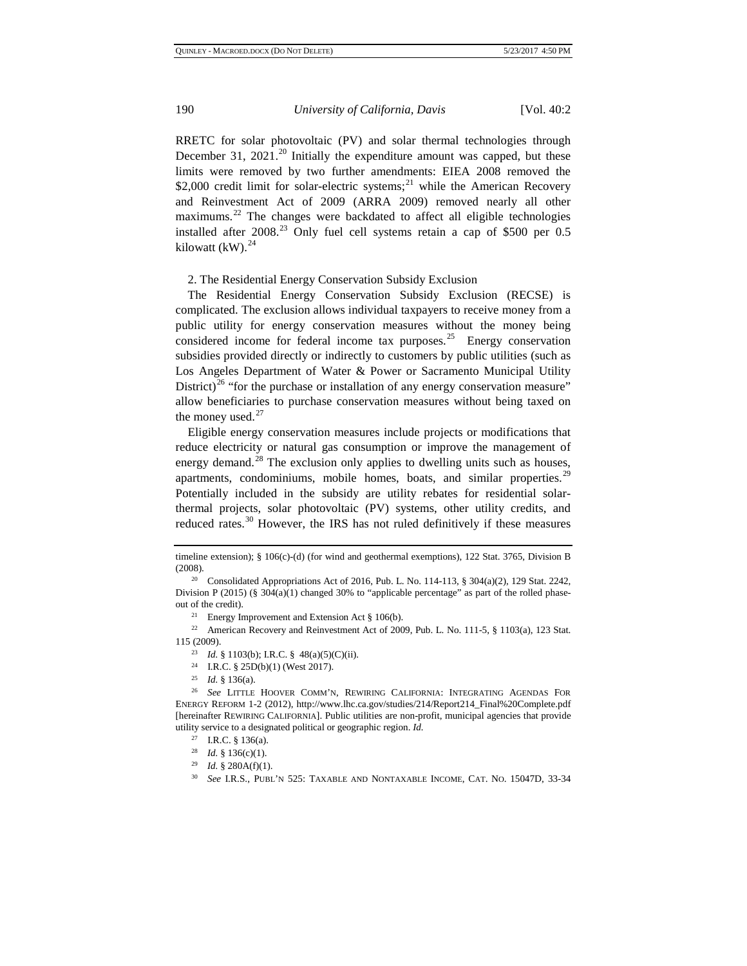RRETC for solar photovoltaic (PV) and solar thermal technologies through December 31, [20](#page-5-0)21.<sup>20</sup> Initially the expenditure amount was capped, but these limits were removed by two further amendments: EIEA 2008 removed the \$2,000 credit limit for solar-electric systems;<sup>[21](#page-5-1)</sup> while the American Recovery and Reinvestment Act of 2009 (ARRA 2009) removed nearly all other maximums.<sup>[22](#page-5-2)</sup> The changes were backdated to affect all eligible technologies installed after 2008.<sup>[23](#page-5-3)</sup> Only fuel cell systems retain a cap of \$500 per  $0.5$ kilowatt (kW). $^{24}$  $^{24}$  $^{24}$ 

2. The Residential Energy Conservation Subsidy Exclusion

The Residential Energy Conservation Subsidy Exclusion (RECSE) is complicated. The exclusion allows individual taxpayers to receive money from a public utility for energy conservation measures without the money being considered income for federal income tax purposes.<sup>25</sup> Energy conservation subsidies provided directly or indirectly to customers by public utilities (such as Los Angeles Department of Water & Power or Sacramento Municipal Utility District)<sup>[26](#page-5-6)</sup> "for the purchase or installation of any energy conservation measure" allow beneficiaries to purchase conservation measures without being taxed on the money used. $27$ 

Eligible energy conservation measures include projects or modifications that reduce electricity or natural gas consumption or improve the management of energy demand.<sup>[28](#page-5-8)</sup> The exclusion only applies to dwelling units such as houses, apartments, condominiums, mobile homes, boats, and similar properties.<sup>[29](#page-5-9)</sup> Potentially included in the subsidy are utility rebates for residential solarthermal projects, solar photovoltaic (PV) systems, other utility credits, and reduced rates.<sup>[30](#page-5-10)</sup> However, the IRS has not ruled definitively if these measures

<span id="page-5-9"></span><span id="page-5-8"></span><span id="page-5-7"></span><span id="page-5-6"></span><span id="page-5-5"></span><span id="page-5-4"></span><sup>26</sup> *See* LITTLE HOOVER COMM'N, REWIRING CALIFORNIA: INTEGRATING AGENDAS FOR ENERGY REFORM 1-2 (2012), http://www.lhc.ca.gov/studies/214/Report214\_Final%20Complete.pdf [hereinafter REWIRING CALIFORNIA]. Public utilities are non-profit, municipal agencies that provide utility service to a designated political or geographic region. *Id.*

- <sup>27</sup> I.R.C. § 136(a).
- 
- <span id="page-5-10"></span><sup>28</sup> *Id.* § 136(c)(1).<br><sup>29</sup> *Id.* § 280A(f)(1).
- <sup>30</sup> *See I.R.S., PUBL'N 525: TAXABLE AND NONTAXABLE INCOME, CAT. NO. 15047D, 33-34*

timeline extension); § 106(c)-(d) (for wind and geothermal exemptions), 122 Stat. 3765, Division B (2008). 2008). Consolidated Appropriations Act of 2016, Pub. L. No. 114-113, § 304(a)(2), 129 Stat. 2242,

<span id="page-5-0"></span>Division P (2015) (§ 304(a)(1) changed 30% to "applicable percentage" as part of the rolled phaseout of the credit).<br>
<sup>21</sup> Energy Improvement and Extension Act § 106(b).<br>
<sup>22</sup> American Recovery and Reinvestment Act of 2009, Pub. L. No. 111-5, § 1103(a), 123 Stat.

<span id="page-5-3"></span><span id="page-5-2"></span><span id="page-5-1"></span><sup>115 (2009).</sup>

<sup>&</sup>lt;sup>23</sup> *Id.* § 1103(b); I.R.C. § 48(a)(5)(C)(ii).<br><sup>24</sup> I.R.C. § 25D(b)(1) (West 2017).

<sup>25</sup> *Id.* § 136(a).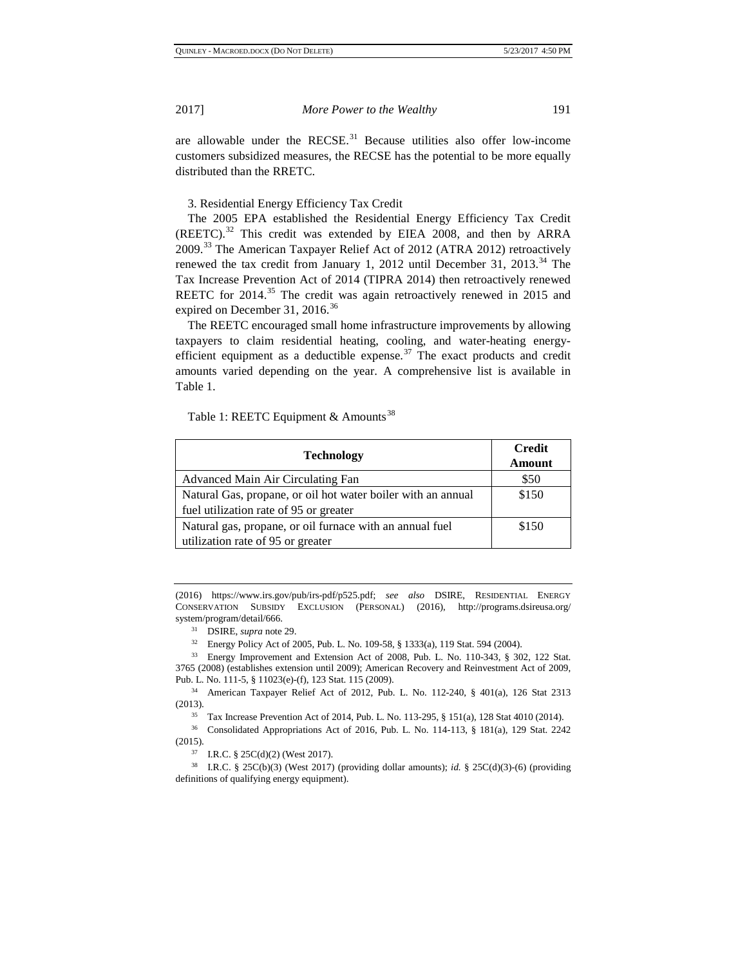are allowable under the RECSE. $31$  Because utilities also offer low-income customers subsidized measures, the RECSE has the potential to be more equally distributed than the RRETC.

3. Residential Energy Efficiency Tax Credit

The 2005 EPA established the Residential Energy Efficiency Tax Credit  $(REETC).$ <sup>[32](#page-6-1)</sup> This credit was extended by EIEA 2008, and then by ARRA 2009.[33](#page-6-2) The American Taxpayer Relief Act of 2012 (ATRA 2012) retroactively renewed the tax credit from January 1, 2012 until December 31, 2013.<sup>[34](#page-6-3)</sup> The Tax Increase Prevention Act of 2014 (TIPRA 2014) then retroactively renewed REETC for 2014.<sup>[35](#page-6-4)</sup> The credit was again retroactively renewed in 2015 and expired on December 31, 2016.<sup>[36](#page-6-5)</sup>

The REETC encouraged small home infrastructure improvements by allowing taxpayers to claim residential heating, cooling, and water-heating energyefficient equipment as a deductible expense. $37$  The exact products and credit amounts varied depending on the year. A comprehensive list is available in Table 1.

Table 1: REETC Equipment & Amounts<sup>[38](#page-6-7)</sup>

| <b>Technology</b>                                            | <b>Credit</b> |
|--------------------------------------------------------------|---------------|
|                                                              | <b>Amount</b> |
| Advanced Main Air Circulating Fan                            | \$50          |
| Natural Gas, propane, or oil hot water boiler with an annual | \$150         |
| fuel utilization rate of 95 or greater                       |               |
| Natural gas, propane, or oil furnace with an annual fuel     | \$150         |
| utilization rate of 95 or greater                            |               |

(2016) https://www.irs.gov/pub/irs-pdf/p525.pdf; *see also* DSIRE, RESIDENTIAL ENERGY CONSERVATION SUBSIDY EXCLUSION (PERSONAL) (2016), http://programs.dsireusa.org/ system/program/detail/666.

<span id="page-6-2"></span><span id="page-6-1"></span><span id="page-6-0"></span><sup>33</sup> Energy Improvement and Extension Act of 2008, Pub. L. No. 110-343, § 302, 122 Stat. 3765 (2008) (establishes extension until 2009); American Recovery and Reinvestment Act of 2009, Pub. L. No. 111-5, § 11023(e)-(f), 123 Stat. 115 (2009).

<span id="page-6-3"></span><sup>34</sup> American Taxpayer Relief Act of 2012, Pub. L. No. 112-240, § 401(a), 126 Stat 2313 (2013).

<sup>35</sup> Tax Increase Prevention Act of 2014, Pub. L. No. 113-295, § 151(a), 128 Stat 4010 (2014).

<span id="page-6-5"></span><span id="page-6-4"></span><sup>36</sup> Consolidated Appropriations Act of 2016, Pub. L. No. 114-113, § 181(a), 129 Stat. 2242

37 I.R.C. § 25C(d)(2) (West 2017).

<span id="page-6-7"></span><span id="page-6-6"></span><sup>38</sup> I.R.C. § 25C(b)(3) (West 2017) (providing dollar amounts); *id.* § 25C(d)(3)-(6) (providing definitions of qualifying energy equipment).

<sup>31</sup> DSIRE, *supra* note 29. 32 Energy Policy Act of 2005, Pub. L. No. 109-58, § 1333(a), 119 Stat. 594 (2004).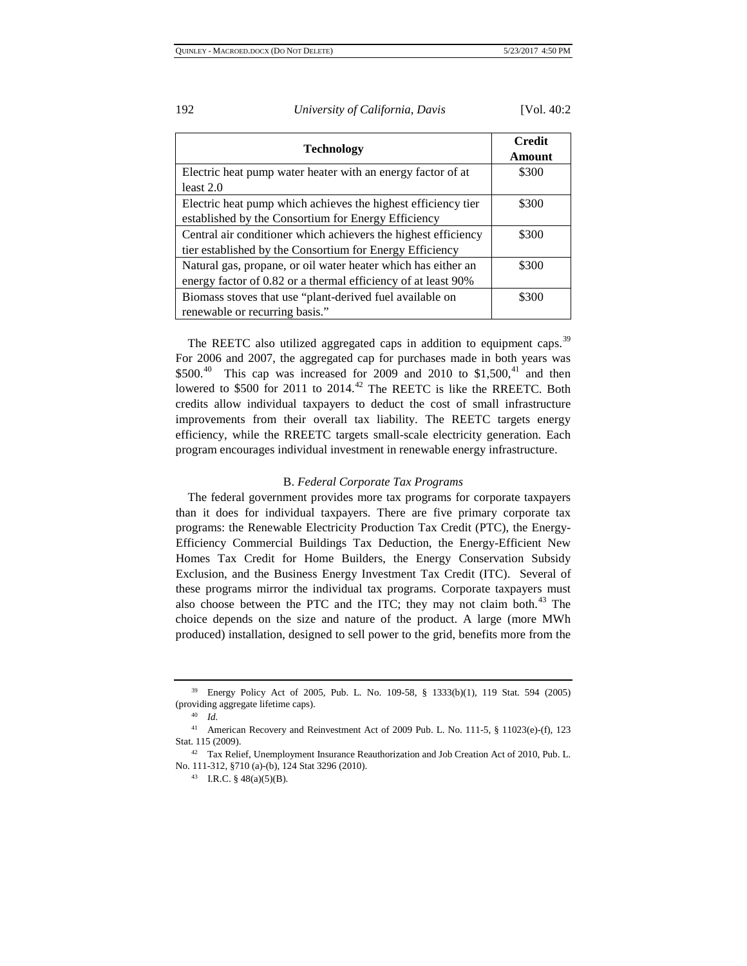| <b>Technology</b>                                                                                                              | <b>Credit</b><br>Amount |
|--------------------------------------------------------------------------------------------------------------------------------|-------------------------|
| Electric heat pump water heater with an energy factor of at                                                                    | \$300                   |
| least $2.0$                                                                                                                    |                         |
| Electric heat pump which achieves the highest efficiency tier<br>established by the Consortium for Energy Efficiency           | \$300                   |
| Central air conditioner which achievers the highest efficiency<br>tier established by the Consortium for Energy Efficiency     | \$300                   |
| Natural gas, propane, or oil water heater which has either an<br>energy factor of 0.82 or a thermal efficiency of at least 90% | \$300                   |
| Biomass stoves that use "plant-derived fuel available on<br>renewable or recurring basis."                                     | \$300                   |

The REETC also utilized aggregated caps in addition to equipment caps.<sup>[39](#page-7-0)</sup> For 2006 and 2007, the aggregated cap for purchases made in both years was  $$500.<sup>40</sup>$  This cap was increased for 2009 and 2010 to \$1,500,<sup>41</sup> and then lowered to \$500 for 2011 to 2014.<sup>[42](#page-7-3)</sup> The REETC is like the RREETC. Both credits allow individual taxpayers to deduct the cost of small infrastructure improvements from their overall tax liability. The REETC targets energy efficiency, while the RREETC targets small-scale electricity generation. Each program encourages individual investment in renewable energy infrastructure.

#### B. *Federal Corporate Tax Programs*

The federal government provides more tax programs for corporate taxpayers than it does for individual taxpayers. There are five primary corporate tax programs: the Renewable Electricity Production Tax Credit (PTC), the Energy-Efficiency Commercial Buildings Tax Deduction, the Energy-Efficient New Homes Tax Credit for Home Builders, the Energy Conservation Subsidy Exclusion, and the Business Energy Investment Tax Credit (ITC). Several of these programs mirror the individual tax programs. Corporate taxpayers must also choose between the PTC and the ITC; they may not claim both.<sup>[43](#page-7-4)</sup> The choice depends on the size and nature of the product. A large (more MWh produced) installation, designed to sell power to the grid, benefits more from the

<span id="page-7-0"></span><sup>39</sup> Energy Policy Act of 2005, Pub. L. No. 109-58, § 1333(b)(1), 119 Stat. 594 (2005) (providing aggregate lifetime caps).

<sup>40</sup> *Id.*

<span id="page-7-2"></span><span id="page-7-1"></span><sup>41</sup> American Recovery and Reinvestment Act of 2009 Pub. L. No. 111-5, § 11023(e)-(f), 123 Stat. 115 (2009).

<span id="page-7-4"></span><span id="page-7-3"></span><sup>42</sup> Tax Relief, Unemployment Insurance Reauthorization and Job Creation Act of 2010, Pub. L. No. 111-312, §710 (a)-(b), 124 Stat 3296 (2010).<br><sup>43</sup> I.R.C. § 48(a)(5)(B).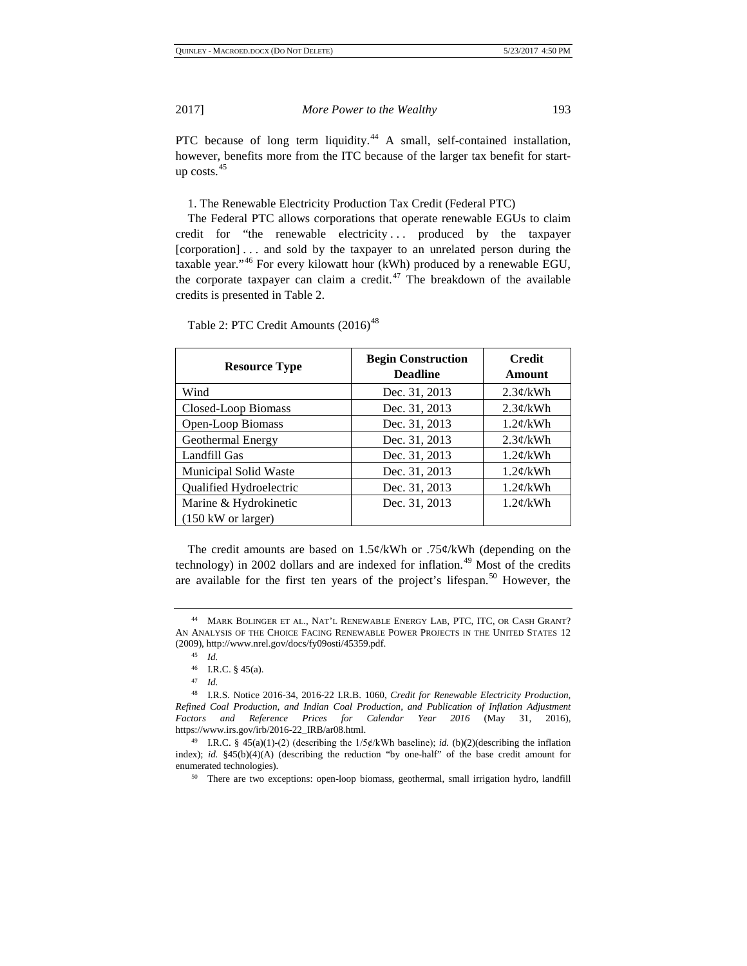PTC because of long term liquidity.<sup>[44](#page-8-0)</sup> A small, self-contained installation, however, benefits more from the ITC because of the larger tax benefit for startup  $costs.<sup>45</sup>$  $costs.<sup>45</sup>$  $costs.<sup>45</sup>$ 

1. The Renewable Electricity Production Tax Credit (Federal PTC)

The Federal PTC allows corporations that operate renewable EGUs to claim credit for "the renewable electricity ... produced by the taxpayer [corporation] . . . and sold by the taxpayer to an unrelated person during the taxable year."[46](#page-8-2) For every kilowatt hour (kWh) produced by a renewable EGU, the corporate taxpayer can claim a credit.<sup>[47](#page-8-3)</sup> The breakdown of the available credits is presented in Table 2.

| <b>Resource Type</b>                 | <b>Begin Construction</b><br><b>Deadline</b> | <b>Credit</b><br>Amount |  |
|--------------------------------------|----------------------------------------------|-------------------------|--|
| Wind                                 | Dec. 31, 2013                                | 2.3¢/kWh                |  |
| Closed-Loop Biomass                  | Dec. 31, 2013                                | 2.3¢/kWh                |  |
| Open-Loop Biomass                    | Dec. 31, 2013                                | $1.2 \phi$ /kWh         |  |
| Geothermal Energy                    | Dec. 31, 2013                                | 2.3¢/kWh                |  |
| Landfill Gas                         | Dec. 31, 2013                                | 1.2¢/kWh                |  |
| Municipal Solid Waste                | Dec. 31, 2013                                | $1.2 \phi$ /kWh         |  |
| Qualified Hydroelectric              | Dec. 31, 2013                                | $1.2 \phi$ /kWh         |  |
| Marine & Hydrokinetic                | Dec. 31, 2013                                | $1.2 \phi$ /kWh         |  |
| $(150 \text{ kW} \text{ or larger})$ |                                              |                         |  |

Table 2: PTC Credit Amounts  $(2016)^{48}$  $(2016)^{48}$  $(2016)^{48}$ 

The credit amounts are based on  $1.5\frac{\epsilon}{kWh}$  or  $.75\frac{\epsilon}{kWh}$  (depending on the technology) in 2002 dollars and are indexed for inflation.<sup>[49](#page-8-5)</sup> Most of the credits are available for the first ten years of the project's lifespan.<sup>[50](#page-8-6)</sup> However, the

<span id="page-8-1"></span><span id="page-8-0"></span><sup>44</sup> MARK BOLINGER ET AL., NAT'L RENEWABLE ENERGY LAB, PTC, ITC, OR CASH GRANT? AN ANALYSIS OF THE CHOICE FACING RENEWABLE POWER PROJECTS IN THE UNITED STATES 12 (2009), http://www.nrel.gov/docs/fy09osti/45359.pdf.

<sup>45</sup> *Id.*

<sup>46</sup> I.R.C. § 45(a). 47 *Id.*

<span id="page-8-4"></span><span id="page-8-3"></span><span id="page-8-2"></span><sup>48</sup> I.R.S. Notice 2016-34, 2016-22 I.R.B. 1060, *Credit for Renewable Electricity Production, Refined Coal Production, and Indian Coal Production, and Publication of Inflation Adjustment Factors and Reference Prices for Calendar Year 2016* (May 31, 2016), https://www.irs.gov/irb/2016-22\_IRB/ar08.html.

<span id="page-8-6"></span><span id="page-8-5"></span><sup>49</sup> I.R.C. § 45(a)(1)-(2) (describing the 1/5ȼ/kWh baseline); *id.* (b)(2)(describing the inflation index); *id.* §45(b)(4)(A) (describing the reduction "by one-half" of the base credit amount for enumerated technologies).

<sup>&</sup>lt;sup>50</sup> There are two exceptions: open-loop biomass, geothermal, small irrigation hydro, landfill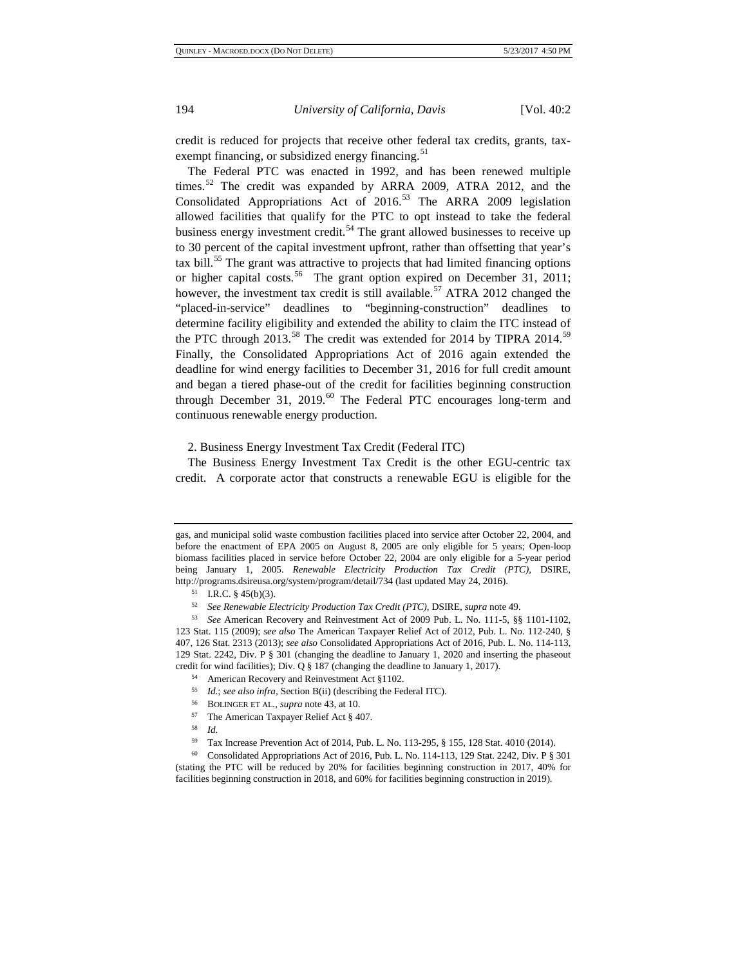credit is reduced for projects that receive other federal tax credits, grants, tax-exempt financing, or subsidized energy financing.<sup>[51](#page-9-0)</sup>

The Federal PTC was enacted in 1992, and has been renewed multiple times.<sup>[52](#page-9-1)</sup> The credit was expanded by ARRA 2009, ATRA 2012, and the Consolidated Appropriations Act of 2016.<sup>[53](#page-9-2)</sup> The ARRA 2009 legislation allowed facilities that qualify for the PTC to opt instead to take the federal business energy investment credit.<sup>[54](#page-9-3)</sup> The grant allowed businesses to receive up to 30 percent of the capital investment upfront, rather than offsetting that year's tax bill.<sup>[55](#page-9-4)</sup> The grant was attractive to projects that had limited financing options or higher capital costs.<sup>[56](#page-9-5)</sup> The grant option expired on December 31, 2011; however, the investment tax credit is still available.<sup>[57](#page-9-6)</sup> ATRA 2012 changed the "placed-in-service" deadlines to "beginning-construction" deadlines to determine facility eligibility and extended the ability to claim the ITC instead of the PTC through 2013.<sup>[58](#page-9-7)</sup> The credit was extended for 2014 by TIPRA 2014.<sup>[59](#page-9-8)</sup> Finally, the Consolidated Appropriations Act of 2016 again extended the deadline for wind energy facilities to December 31, 2016 for full credit amount and began a tiered phase-out of the credit for facilities beginning construction through December 31, 2019. $^{60}$  $^{60}$  $^{60}$  The Federal PTC encourages long-term and continuous renewable energy production.

2. Business Energy Investment Tax Credit (Federal ITC)

The Business Energy Investment Tax Credit is the other EGU-centric tax credit. A corporate actor that constructs a renewable EGU is eligible for the

<sup>58</sup> *Id.*

gas, and municipal solid waste combustion facilities placed into service after October 22, 2004, and before the enactment of EPA 2005 on August 8, 2005 are only eligible for 5 years; Open-loop biomass facilities placed in service before October 22, 2004 are only eligible for a 5-year period being January 1, 2005. *Renewable Electricity Production Tax Credit (PTC)*, DSIRE, http://programs.dsireusa.org/system/program/detail/734 (last updated May 24, 2016).<br>
<sup>51</sup> I.R.C. § 45(b)(3).

<sup>52</sup> *See Renewable Electricity Production Tax Credit (PTC)*, DSIRE, *supra* note 49. 53 *See* American Recovery and Reinvestment Act of 2009 Pub. L. No. 111-5, §§ 1101-1102,

<span id="page-9-4"></span><span id="page-9-3"></span><span id="page-9-2"></span><span id="page-9-1"></span><span id="page-9-0"></span><sup>123</sup> Stat. 115 (2009); *see also* The American Taxpayer Relief Act of 2012, Pub. L. No. 112-240, § 407, 126 Stat. 2313 (2013); *see also* Consolidated Appropriations Act of 2016, Pub. L. No. 114-113, 129 Stat. 2242, Div. P § 301 (changing the deadline to January 1, 2020 and inserting the phaseout credit for wind facilities); Div. Q § 187 (changing the deadline to January 1, 2017).

<sup>54</sup> American Recovery and Reinvestment Act §1102.

<sup>55</sup> *Id.*; *see also infra*, Section B(ii) (describing the Federal ITC).<br><sup>56</sup> BOLINGER ET AL., *supra* note 43, at 10.<br><sup>57</sup> The American Taxpayer Relief Act § 407.<br><sup>58</sup> *Id* 

<sup>&</sup>lt;sup>59</sup> Tax Increase Prevention Act of 2014, Pub. L. No. 113-295, § 155, 128 Stat. 4010 (2014).<br><sup>60</sup> Consolidated Appropriations Act of 2016, Pub. L. No. 114-113, 129 Stat. 2242, Div. P § 301

<span id="page-9-9"></span><span id="page-9-8"></span><span id="page-9-7"></span><span id="page-9-6"></span><span id="page-9-5"></span><sup>(</sup>stating the PTC will be reduced by 20% for facilities beginning construction in 2017, 40% for facilities beginning construction in 2018, and 60% for facilities beginning construction in 2019).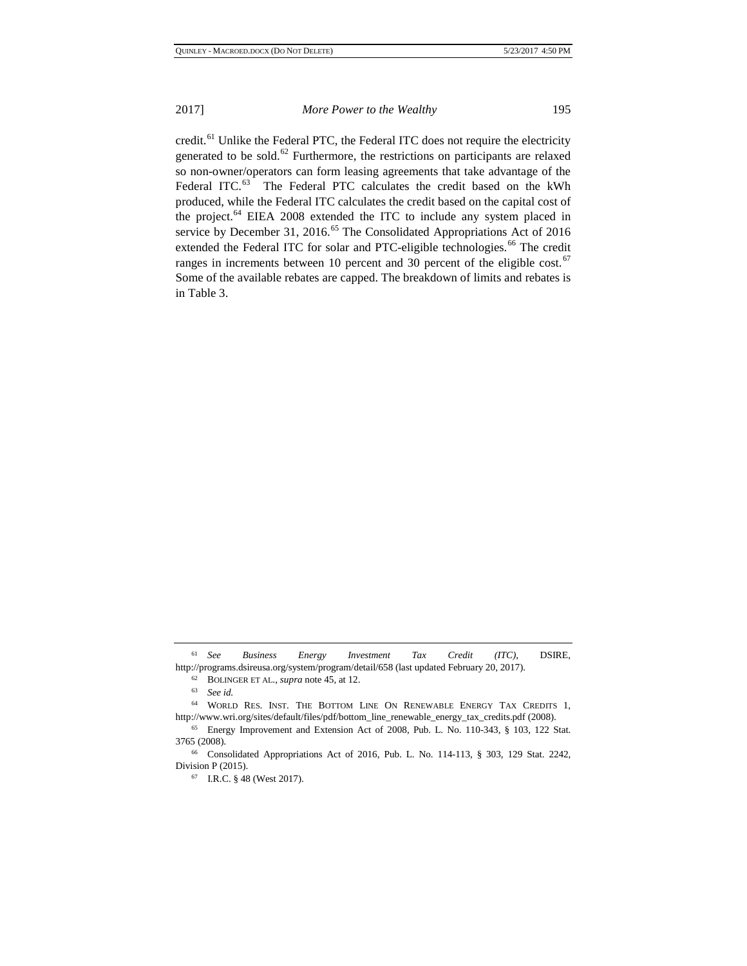credit.<sup>[61](#page-10-0)</sup> Unlike the Federal PTC, the Federal ITC does not require the electricity generated to be sold.<sup>[62](#page-10-1)</sup> Furthermore, the restrictions on participants are relaxed so non-owner/operators can form leasing agreements that take advantage of the Federal ITC.<sup>[63](#page-10-2)</sup> The Federal PTC calculates the credit based on the kWh produced, while the Federal ITC calculates the credit based on the capital cost of the project.<sup>[64](#page-10-3)</sup> EIEA 2008 extended the ITC to include any system placed in service by December 31, 2016.<sup>[65](#page-10-4)</sup> The Consolidated Appropriations Act of 2016 extended the Federal ITC for solar and PTC-eligible technologies.<sup>[66](#page-10-5)</sup> The credit ranges in increments between 10 percent and 30 percent of the eligible cost.<sup>[67](#page-10-6)</sup> Some of the available rebates are capped. The breakdown of limits and rebates is in Table 3.

<span id="page-10-1"></span><span id="page-10-0"></span><sup>61</sup> *See Business Energy Investment Tax Credit (ITC)*, DSIRE, http://programs.dsireusa.org/system/program/detail/658 (last updated February 20, 2017).<br>
<sup>62</sup> BOLINGER ET AL., *supra* note 45, at 12.<br>
<sup>63</sup> See id.<br>
<sup>64</sup> WORLD RES. INST. THE BOTTOM LINE ON RENEWABLE ENERGY TAX CREDITS 1

<span id="page-10-3"></span><span id="page-10-2"></span>http://www.wri.org/sites/default/files/pdf/bottom\_line\_renewable\_energy\_tax\_credits.pdf (2008).

<span id="page-10-4"></span><sup>65</sup> Energy Improvement and Extension Act of 2008, Pub. L. No. 110-343, § 103, 122 Stat. 3765 (2008).

<span id="page-10-6"></span><span id="page-10-5"></span><sup>66</sup> Consolidated Appropriations Act of 2016, Pub. L. No. 114-113, § 303, 129 Stat. 2242, Division P (2015).

<sup>67</sup> I.R.C. § 48 (West 2017).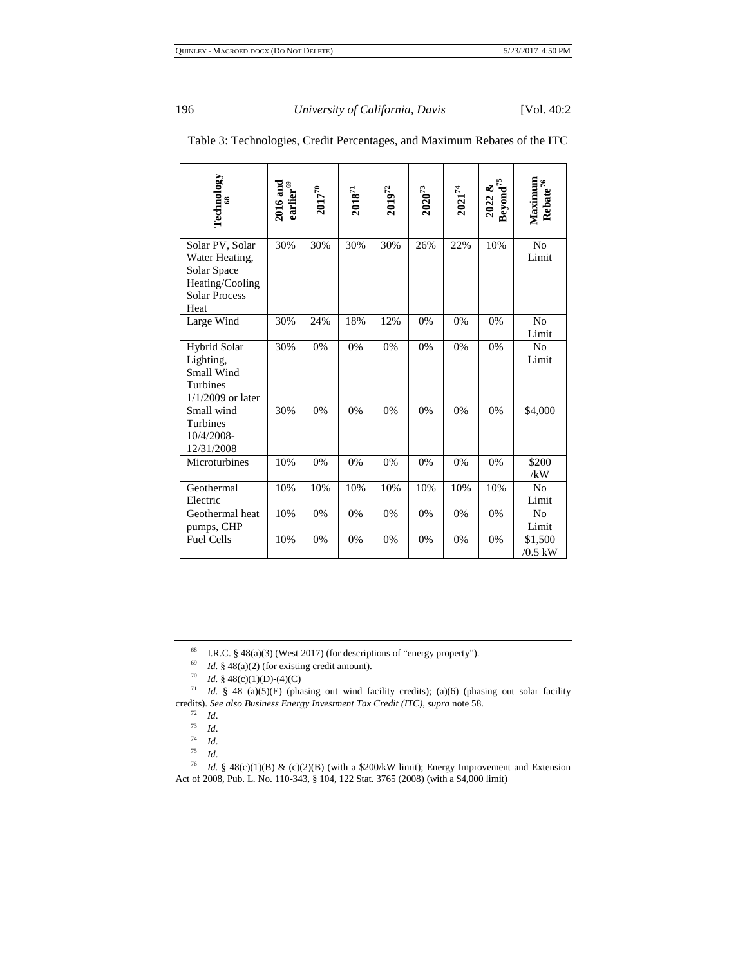| Technology<br>S.                                                                                    | $\frac{2016 \text{ and }}{\text{earlier}^{69}}$ | $2017^{70}$ | $\mathbf{2018}^{71}$ | $2019^{72}$ | $2020^{73}$ | $2021^{74}$ | $\frac{2022 \&}{\text{Beyond}^{75}}$ | Maximum<br>Rebate <sup>76</sup> |
|-----------------------------------------------------------------------------------------------------|-------------------------------------------------|-------------|----------------------|-------------|-------------|-------------|--------------------------------------|---------------------------------|
| Solar PV, Solar<br>Water Heating,<br>Solar Space<br>Heating/Cooling<br><b>Solar Process</b><br>Heat | 30%                                             | 30%         | 30%                  | 30%         | 26%         | 22%         | 10%                                  | N <sub>o</sub><br>Limit         |
| Large Wind                                                                                          | 30%                                             | 24%         | 18%                  | 12%         | 0%          | 0%          | 0%                                   | N <sub>0</sub><br>Limit         |
| <b>Hybrid Solar</b><br>Lighting,<br>Small Wind<br><b>Turbines</b><br>$1/1/2009$ or later            | 30%                                             | 0%          | 0%                   | 0%          | 0%          | 0%          | 0%                                   | No<br>Limit                     |
| Small wind<br>Turbines<br>10/4/2008-<br>12/31/2008                                                  | 30%                                             | 0%          | 0%                   | 0%          | 0%          | 0%          | 0%                                   | \$4,000                         |
| Microturbines                                                                                       | 10%                                             | 0%          | 0%                   | 0%          | 0%          | 0%          | 0%                                   | \$200<br>/kW                    |
| Geothermal<br>Electric                                                                              | 10%                                             | 10%         | 10%                  | 10%         | 10%         | 10%         | 10%                                  | N <sub>0</sub><br>Limit         |
| Geothermal heat<br>pumps, CHP                                                                       | 10%                                             | 0%          | 0%                   | 0%          | 0%          | 0%          | 0%                                   | N <sub>0</sub><br>Limit         |
| <b>Fuel Cells</b>                                                                                   | 10%                                             | 0%          | 0%                   | 0%          | 0%          | 0%          | 0%                                   | \$1,500<br>$/0.5$ kW            |

# Table 3: Technologies, Credit Percentages, and Maximum Rebates of the ITC

<sup>68</sup> I.R.C. § 48(a)(3) (West 2017) (for descriptions of "energy property").

<sup>69</sup> *Id.* § 48(a)(2) (for existing credit amount).

<sup>70</sup> *Id.* § 48(c)(1)(D)-(4)(C)

<span id="page-11-4"></span><span id="page-11-3"></span><span id="page-11-2"></span><span id="page-11-1"></span><span id="page-11-0"></span> <sup>71</sup> *Id.* § 48 (a)(5)(E) (phasing out wind facility credits); (a)(6) (phasing out solar facility credits). *See also Business Energy Investment Tax Credit (ITC)*, *supra* note 58.

 $rac{72}{73}$  *Id.* 

 $rac{73}{74}$  *Id.* 

 $rac{74}{75}$  *Id.* <sup>75</sup> *Id*.

<span id="page-11-8"></span><span id="page-11-7"></span><span id="page-11-6"></span><span id="page-11-5"></span> <sup>76</sup> *Id.* § 48(c)(1)(B) & (c)(2)(B) (with a \$200/kW limit); Energy Improvement and Extension Act of 2008, Pub. L. No. 110-343, § 104, 122 Stat. 3765 (2008) (with a \$4,000 limit)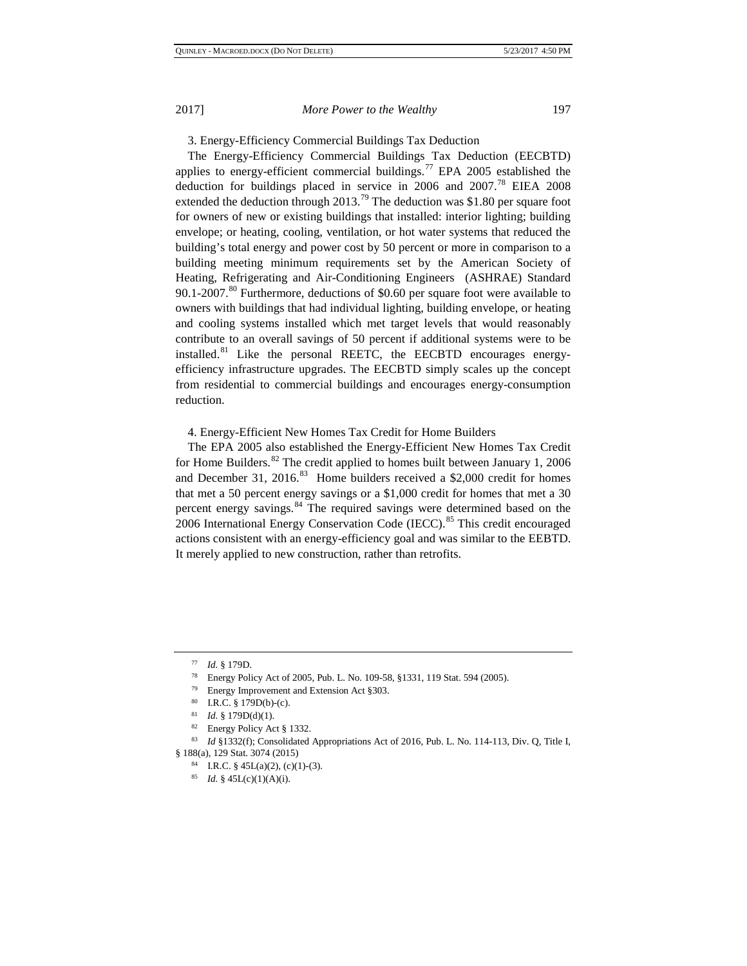3. Energy-Efficiency Commercial Buildings Tax Deduction

The Energy-Efficiency Commercial Buildings Tax Deduction (EECBTD) applies to energy-efficient commercial buildings.<sup>[77](#page-12-0)</sup> EPA 2005 established the deduction for buildings placed in service in 2006 and 2007.[78](#page-12-1) EIEA 2008 extended the deduction through  $2013<sup>79</sup>$  $2013<sup>79</sup>$  $2013<sup>79</sup>$  The deduction was \$1.80 per square foot for owners of new or existing buildings that installed: interior lighting; building envelope; or heating, cooling, ventilation, or hot water systems that reduced the building's total energy and power cost by 50 percent or more in comparison to a building meeting minimum requirements set by the American Society of Heating, Refrigerating and Air-Conditioning Engineers (ASHRAE) Standard 90.1-2007.<sup>[80](#page-12-3)</sup> Furthermore, deductions of \$0.60 per square foot were available to owners with buildings that had individual lighting, building envelope, or heating and cooling systems installed which met target levels that would reasonably contribute to an overall savings of 50 percent if additional systems were to be installed.<sup>[81](#page-12-4)</sup> Like the personal REETC, the EECBTD encourages energyefficiency infrastructure upgrades. The EECBTD simply scales up the concept from residential to commercial buildings and encourages energy-consumption reduction.

4. Energy-Efficient New Homes Tax Credit for Home Builders

The EPA 2005 also established the Energy-Efficient New Homes Tax Credit for Home Builders.<sup>[82](#page-12-5)</sup> The credit applied to homes built between January 1, 2006 and December 31, 2016.<sup>[83](#page-12-6)</sup> Home builders received a \$2,000 credit for homes that met a 50 percent energy savings or a \$1,000 credit for homes that met a 30 percent energy savings.<sup>[84](#page-12-7)</sup> The required savings were determined based on the 2006 International Energy Conservation Code (IECC).<sup>[85](#page-12-8)</sup> This credit encouraged actions consistent with an energy-efficiency goal and was similar to the EEBTD. It merely applied to new construction, rather than retrofits.

<span id="page-12-0"></span><sup>77</sup> *Id.* § 179D.

<sup>78</sup> Energy Policy Act of 2005, Pub. L. No. 109-58, §1331, 119 Stat. 594 (2005).

<sup>79</sup> Energy Improvement and Extension Act §303.

I.R.C.  $§$  179D(b)-(c).

<sup>&</sup>lt;sup>81</sup> *Id.* § 179D(d)(1).<br><sup>82</sup> Energy Policy Act § 1332.

<span id="page-12-8"></span><span id="page-12-7"></span><span id="page-12-6"></span><span id="page-12-5"></span><span id="page-12-4"></span><span id="page-12-3"></span><span id="page-12-2"></span><span id="page-12-1"></span><sup>83</sup> *Id* §1332(f); Consolidated Appropriations Act of 2016, Pub. L. No. 114-113, Div. Q, Title I, § 188(a), 129 Stat. 3074 (2015)

<sup>84</sup> I.R.C. § 45L(a)(2), (c)(1)-(3). 85 *Id.* § 45L(c)(1)(A)(i).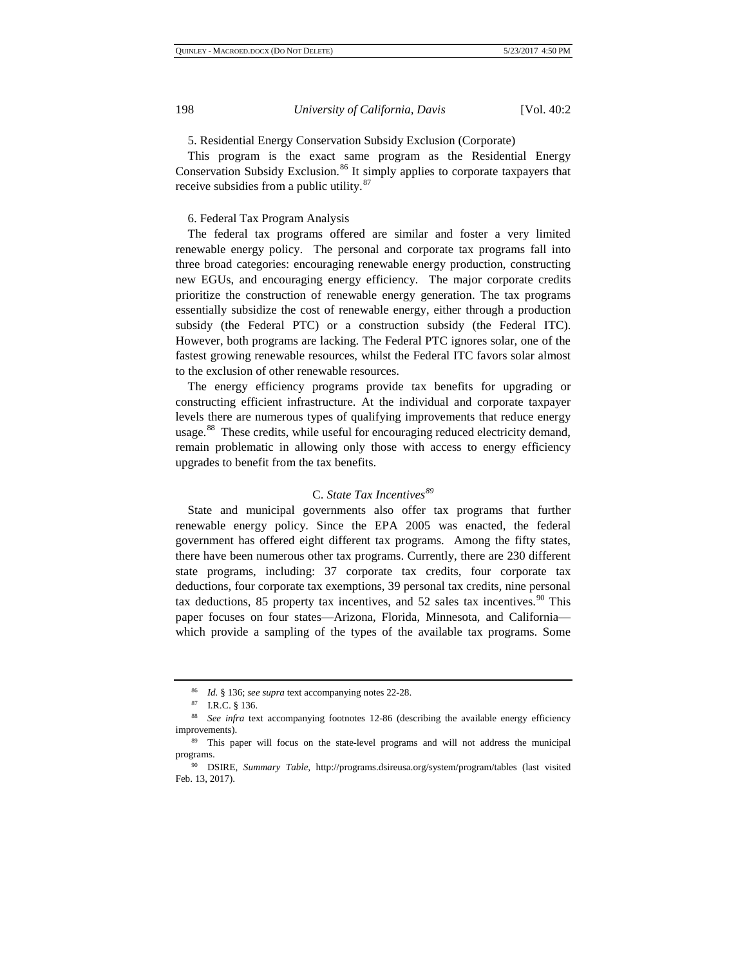5. Residential Energy Conservation Subsidy Exclusion (Corporate)

This program is the exact same program as the Residential Energy Conservation Subsidy Exclusion.<sup>[86](#page-13-0)</sup> It simply applies to corporate taxpayers that receive subsidies from a public utility.<sup>[87](#page-13-1)</sup>

#### 6. Federal Tax Program Analysis

The federal tax programs offered are similar and foster a very limited renewable energy policy. The personal and corporate tax programs fall into three broad categories: encouraging renewable energy production, constructing new EGUs, and encouraging energy efficiency. The major corporate credits prioritize the construction of renewable energy generation. The tax programs essentially subsidize the cost of renewable energy, either through a production subsidy (the Federal PTC) or a construction subsidy (the Federal ITC). However, both programs are lacking. The Federal PTC ignores solar, one of the fastest growing renewable resources, whilst the Federal ITC favors solar almost to the exclusion of other renewable resources.

The energy efficiency programs provide tax benefits for upgrading or constructing efficient infrastructure. At the individual and corporate taxpayer levels there are numerous types of qualifying improvements that reduce energy usage.<sup>[88](#page-13-2)</sup> These credits, while useful for encouraging reduced electricity demand, remain problematic in allowing only those with access to energy efficiency upgrades to benefit from the tax benefits.

# C. *State Tax Incentives[89](#page-13-3)*

State and municipal governments also offer tax programs that further renewable energy policy. Since the EPA 2005 was enacted, the federal government has offered eight different tax programs. Among the fifty states, there have been numerous other tax programs. Currently, there are 230 different state programs, including: 37 corporate tax credits, four corporate tax deductions, four corporate tax exemptions, 39 personal tax credits, nine personal tax deductions, 85 property tax incentives, and 52 sales tax incentives.<sup>[90](#page-13-4)</sup> This paper focuses on four states—Arizona, Florida, Minnesota, and California which provide a sampling of the types of the available tax programs. Some

<span id="page-13-1"></span><span id="page-13-0"></span><sup>86</sup> *Id.* § 136; *see supra* text accompanying notes 22-28. 87 I.R.C. § 136. 88 *See infra* text accompanying footnotes 12-86 (describing the available energy efficiency improvements). 89 This paper will focus on the state-level programs and will not address the municipal

<span id="page-13-3"></span><span id="page-13-2"></span>programs.

<span id="page-13-4"></span><sup>90</sup> DSIRE, *Summary Table*, http://programs.dsireusa.org/system/program/tables (last visited Feb. 13, 2017).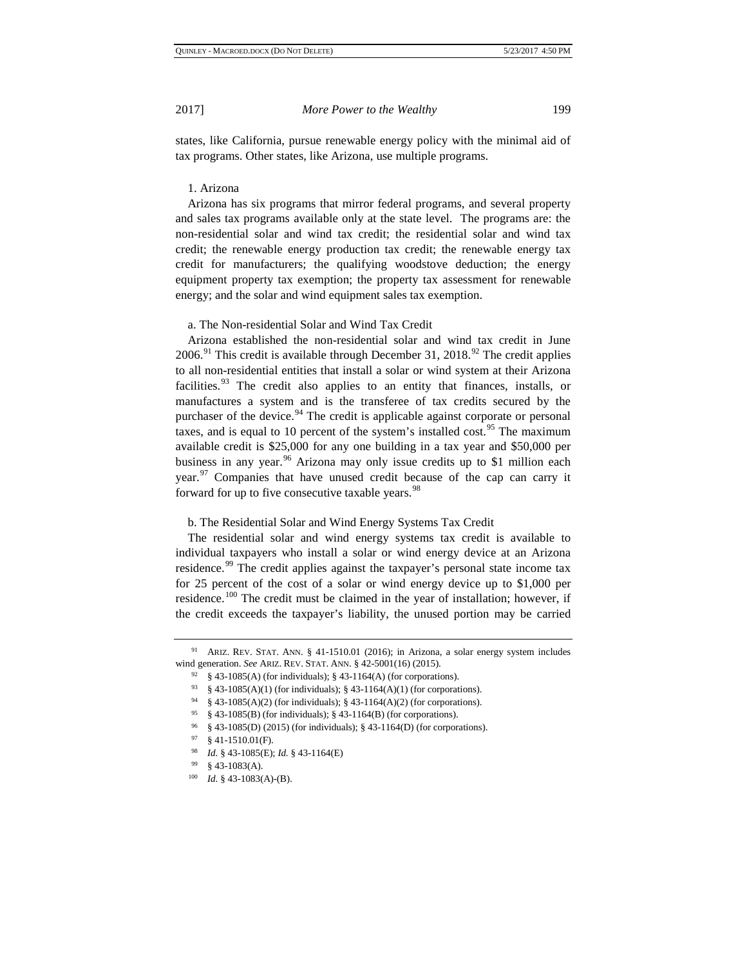states, like California, pursue renewable energy policy with the minimal aid of tax programs. Other states, like Arizona, use multiple programs.

#### 1. Arizona

Arizona has six programs that mirror federal programs, and several property and sales tax programs available only at the state level. The programs are: the non-residential solar and wind tax credit; the residential solar and wind tax credit; the renewable energy production tax credit; the renewable energy tax credit for manufacturers; the qualifying woodstove deduction; the energy equipment property tax exemption; the property tax assessment for renewable energy; and the solar and wind equipment sales tax exemption.

a. The Non-residential Solar and Wind Tax Credit

Arizona established the non-residential solar and wind tax credit in June 2006.<sup>[91](#page-14-0)</sup> This credit is available through December 31, 2018.<sup>[92](#page-14-1)</sup> The credit applies to all non-residential entities that install a solar or wind system at their Arizona facilities.<sup>[93](#page-14-2)</sup> The credit also applies to an entity that finances, installs, or manufactures a system and is the transferee of tax credits secured by the purchaser of the device.<sup>[94](#page-14-3)</sup> The credit is applicable against corporate or personal taxes, and is equal to 10 percent of the system's installed cost.<sup>[95](#page-14-4)</sup> The maximum available credit is \$25,000 for any one building in a tax year and \$50,000 per business in any year.<sup>[96](#page-14-5)</sup> Arizona may only issue credits up to \$1 million each year.<sup>[97](#page-14-6)</sup> Companies that have unused credit because of the cap can carry it forward for up to five consecutive taxable years.<sup>[98](#page-14-7)</sup>

#### b. The Residential Solar and Wind Energy Systems Tax Credit

The residential solar and wind energy systems tax credit is available to individual taxpayers who install a solar or wind energy device at an Arizona residence.<sup>[99](#page-14-8)</sup> The credit applies against the taxpayer's personal state income tax for 25 percent of the cost of a solar or wind energy device up to \$1,000 per residence.<sup>[100](#page-14-9)</sup> The credit must be claimed in the year of installation; however, if the credit exceeds the taxpayer's liability, the unused portion may be carried

<span id="page-14-4"></span><span id="page-14-3"></span><span id="page-14-2"></span><span id="page-14-1"></span><span id="page-14-0"></span><sup>91</sup> ARIZ. REV. STAT. ANN. § 41-1510.01 (2016); in Arizona, a solar energy system includes wind generation. *See* ARIZ. REV. STAT. ANN. § 42-5001(16) (2015).

 $92\%$  \$43-1085(A) (for individuals); \$43-1164(A) (for corporations).

<sup>93</sup> § 43-1085(A)(1) (for individuals); § 43-1164(A)(1) (for corporations).

 $94 \frac{\sqrt{94}}{\sqrt{2}}$  § 43-1085(A)(2) (for individuals); § 43-1164(A)(2) (for corporations).

<sup>95</sup> § 43-1085(B) (for individuals); § 43-1164(B) (for corporations).

<span id="page-14-5"></span><sup>96</sup> § 43-1085(D) (2015) (for individuals); § 43-1164(D) (for corporations).

<sup>97</sup> § 41-1510.01(F).

<sup>98</sup> *Id.* § 43-1085(E); *Id.* § 43-1164(E)

<span id="page-14-9"></span><span id="page-14-8"></span><span id="page-14-7"></span><span id="page-14-6"></span><sup>99</sup> § 43-1083(A).

<sup>100</sup> *Id.* § 43-1083(A)-(B).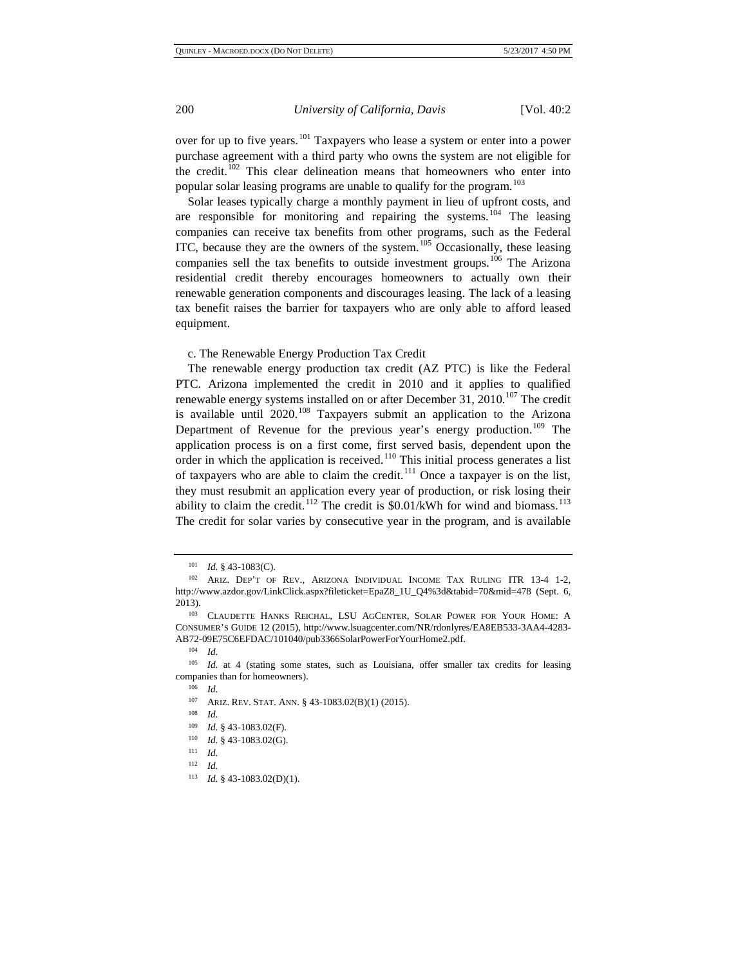over for up to five years.<sup>[101](#page-15-0)</sup> Taxpayers who lease a system or enter into a power purchase agreement with a third party who owns the system are not eligible for the credit.<sup>[102](#page-15-1)</sup> This clear delineation means that homeowners who enter into popular solar leasing programs are unable to qualify for the program.<sup>[103](#page-15-2)</sup>

Solar leases typically charge a monthly payment in lieu of upfront costs, and are responsible for monitoring and repairing the systems.<sup>[104](#page-15-3)</sup> The leasing companies can receive tax benefits from other programs, such as the Federal ITC, because they are the owners of the system. $105$  Occasionally, these leasing companies sell the tax benefits to outside investment groups.<sup>[106](#page-15-5)</sup> The Arizona residential credit thereby encourages homeowners to actually own their renewable generation components and discourages leasing. The lack of a leasing tax benefit raises the barrier for taxpayers who are only able to afford leased equipment.

c. The Renewable Energy Production Tax Credit

The renewable energy production tax credit (AZ PTC) is like the Federal PTC. Arizona implemented the credit in 2010 and it applies to qualified renewable energy systems installed on or after December 31,  $2010$ .<sup>[107](#page-15-6)</sup> The credit is available until  $2020$ <sup>[108](#page-15-7)</sup> Taxpayers submit an application to the Arizona Department of Revenue for the previous year's energy production.<sup>[109](#page-15-8)</sup> The application process is on a first come, first served basis, dependent upon the order in which the application is received.<sup>[110](#page-15-9)</sup> This initial process generates a list of taxpayers who are able to claim the credit.<sup>[111](#page-15-10)</sup> Once a taxpayer is on the list, they must resubmit an application every year of production, or risk losing their ability to claim the credit.<sup>[112](#page-15-11)</sup> The credit is  $$0.01/kWh$  for wind and biomass.<sup>[113](#page-15-12)</sup> The credit for solar varies by consecutive year in the program, and is available

- <sup>107</sup> ARIZ. REV. STAT. ANN. § 43-1083.02(B)(1) (2015).
- <sup>108</sup> *Id.*
- <sup>109</sup> *Id.* § 43-1083.02(F).
- <sup>110</sup> *Id.* § 43-1083.02(G).
- <span id="page-15-11"></span><span id="page-15-10"></span><span id="page-15-9"></span> $\frac{111}{112}$  *Id.*
- <sup>112</sup> *Id.*

<sup>101</sup> *Id.* § 43-1083(C).

<span id="page-15-1"></span><span id="page-15-0"></span><sup>102</sup> ARIZ. DEP'T OF REV., ARIZONA INDIVIDUAL INCOME TAX RULING ITR 13-4 1-2, http://www.azdor.gov/LinkClick.aspx?fileticket=EpaZ8\_1U\_Q4%3d&tabid=70&mid=478 (Sept. 6, 2013).

<span id="page-15-2"></span><sup>&</sup>lt;sup>103</sup> CLAUDETTE HANKS REICHAL, LSU AGCENTER, SOLAR POWER FOR YOUR HOME: A CONSUMER'S GUIDE 12 (2015), http://www.lsuagcenter.com/NR/rdonlyres/EA8EB533-3AA4-4283- AB72-09E75C6EFDAC/101040/pub3366SolarPowerForYourHome2.pdf.

<sup>104</sup> *Id.*

<span id="page-15-8"></span><span id="page-15-7"></span><span id="page-15-6"></span><span id="page-15-5"></span><span id="page-15-4"></span><span id="page-15-3"></span><sup>105</sup> *Id.* at 4 (stating some states, such as Louisiana, offer smaller tax credits for leasing companies than for homeowners). 106 *Id.*

<span id="page-15-12"></span><sup>113</sup> *Id.* § 43-1083.02(D)(1).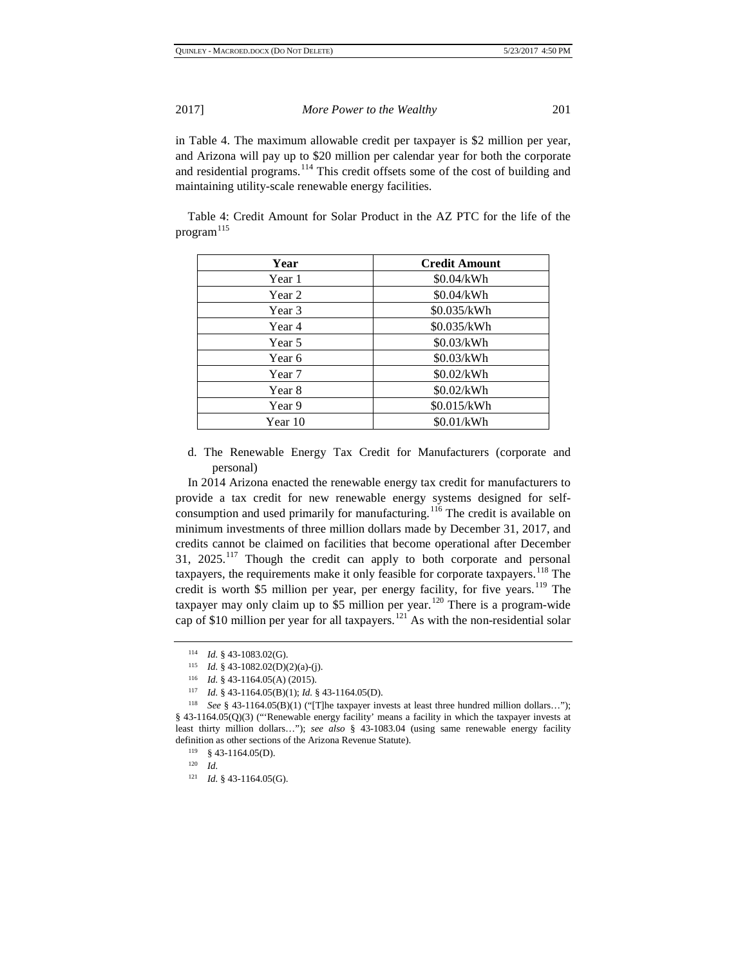in Table 4. The maximum allowable credit per taxpayer is \$2 million per year, and Arizona will pay up to \$20 million per calendar year for both the corporate and residential programs.<sup>[114](#page-16-0)</sup> This credit offsets some of the cost of building and maintaining utility-scale renewable energy facilities.

Table 4: Credit Amount for Solar Product in the AZ PTC for the life of the  $program<sup>115</sup>$  $program<sup>115</sup>$  $program<sup>115</sup>$ 

| Year    | <b>Credit Amount</b> |
|---------|----------------------|
| Year 1  | \$0.04/kWh           |
| Year 2  | \$0.04/kWh           |
| Year 3  | \$0.035/kWh          |
| Year 4  | \$0.035/kWh          |
| Year 5  | \$0.03/kWh           |
| Year 6  | \$0.03/kWh           |
| Year 7  | \$0.02/kWh           |
| Year 8  | \$0.02/kWh           |
| Year 9  | \$0.015/kWh          |
| Year 10 | \$0.01/kWh           |

d. The Renewable Energy Tax Credit for Manufacturers (corporate and personal)

In 2014 Arizona enacted the renewable energy tax credit for manufacturers to provide a tax credit for new renewable energy systems designed for self-consumption and used primarily for manufacturing.<sup>[116](#page-16-2)</sup> The credit is available on minimum investments of three million dollars made by December 31, 2017, and credits cannot be claimed on facilities that become operational after December 31, 2025.[117](#page-16-3) Though the credit can apply to both corporate and personal taxpayers, the requirements make it only feasible for corporate taxpayers.<sup>[118](#page-16-4)</sup> The credit is worth \$5 million per year, per energy facility, for five years.<sup>[119](#page-16-5)</sup> The taxpayer may only claim up to \$5 million per year.<sup>[120](#page-16-6)</sup> There is a program-wide cap of \$10 million per year for all taxpayers.<sup>[121](#page-16-7)</sup> As with the non-residential solar

<sup>114</sup> *Id.* § 43-1083.02(G).

<sup>115</sup> *Id.* § 43-1082.02(D)(2)(a)-(j).

<sup>116</sup> *Id.* § 43-1164.05(A) (2015).

<sup>117</sup> *Id.* § 43-1164.05(B)(1); *Id.* § 43-1164.05(D).

<span id="page-16-6"></span><span id="page-16-5"></span><span id="page-16-4"></span><span id="page-16-3"></span><span id="page-16-2"></span><span id="page-16-1"></span><span id="page-16-0"></span><sup>118</sup> *See* § 43-1164.05(B)(1) ("[T]he taxpayer invests at least three hundred million dollars…"); § 43-1164.05(Q)(3) ("'Renewable energy facility' means a facility in which the taxpayer invests at least thirty million dollars…"); *see also* § 43-1083.04 (using same renewable energy facility definition as other sections of the Arizona Revenue Statute). 119 § 43-1164.05(D).

<sup>120</sup> *Id.*

<span id="page-16-7"></span><sup>121</sup> *Id.* § 43-1164.05(G).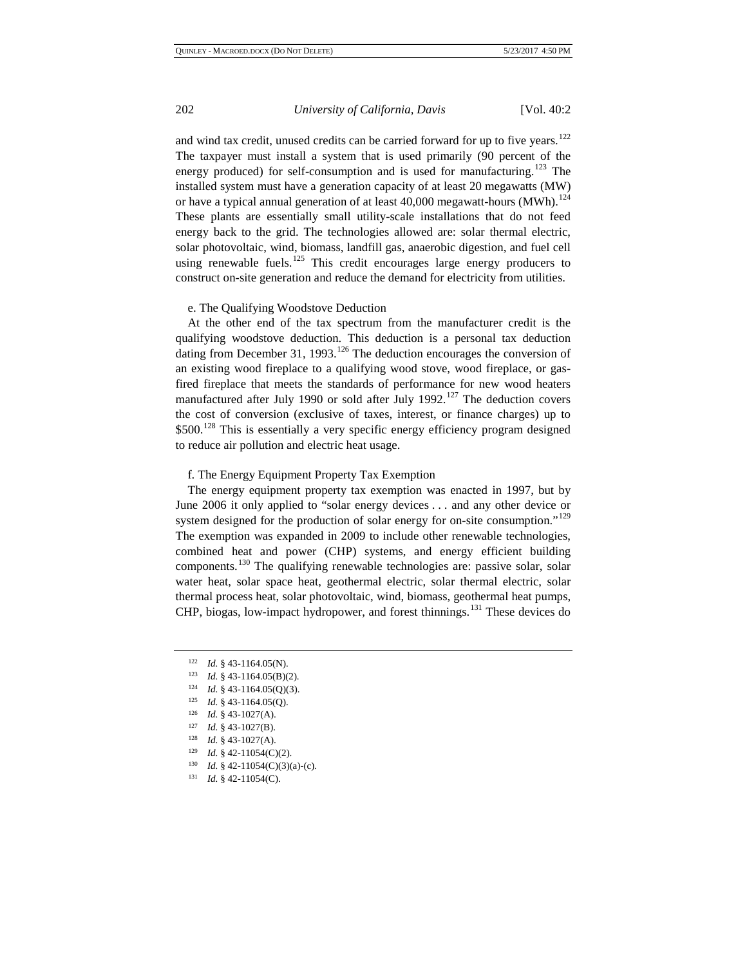and wind tax credit, unused credits can be carried forward for up to five years.<sup>[122](#page-17-0)</sup> The taxpayer must install a system that is used primarily (90 percent of the energy produced) for self-consumption and is used for manufacturing.<sup>[123](#page-17-1)</sup> The installed system must have a generation capacity of at least 20 megawatts (MW) or have a typical annual generation of at least  $40,000$  megawatt-hours (MWh).<sup>[124](#page-17-2)</sup> These plants are essentially small utility-scale installations that do not feed energy back to the grid. The technologies allowed are: solar thermal electric, solar photovoltaic, wind, biomass, landfill gas, anaerobic digestion, and fuel cell using renewable fuels.<sup>[125](#page-17-3)</sup> This credit encourages large energy producers to construct on-site generation and reduce the demand for electricity from utilities.

#### e. The Qualifying Woodstove Deduction

At the other end of the tax spectrum from the manufacturer credit is the qualifying woodstove deduction. This deduction is a personal tax deduction dating from December 31, 1993.<sup>[126](#page-17-4)</sup> The deduction encourages the conversion of an existing wood fireplace to a qualifying wood stove, wood fireplace, or gasfired fireplace that meets the standards of performance for new wood heaters manufactured after July 1990 or sold after July 1992.<sup>[127](#page-17-5)</sup> The deduction covers the cost of conversion (exclusive of taxes, interest, or finance charges) up to \$500.<sup>[128](#page-17-6)</sup> This is essentially a very specific energy efficiency program designed to reduce air pollution and electric heat usage.

### f. The Energy Equipment Property Tax Exemption

The energy equipment property tax exemption was enacted in 1997, but by June 2006 it only applied to "solar energy devices . . . and any other device or system designed for the production of solar energy for on-site consumption."<sup>[129](#page-17-7)</sup> The exemption was expanded in 2009 to include other renewable technologies, combined heat and power (CHP) systems, and energy efficient building components.[130](#page-17-8) The qualifying renewable technologies are: passive solar, solar water heat, solar space heat, geothermal electric, solar thermal electric, solar thermal process heat, solar photovoltaic, wind, biomass, geothermal heat pumps, CHP, biogas, low-impact hydropower, and forest thinnings.[131](#page-17-9) These devices do

 $124$  *Id.* § 43-1164.05(Q)(3).

<span id="page-17-5"></span><sup>127</sup> *Id.* § 43-1027(B).

<span id="page-17-0"></span><sup>122</sup> *Id.* § 43-1164.05(N).

<span id="page-17-2"></span><span id="page-17-1"></span><sup>123</sup> *Id.* § 43-1164.05(B)(2).

<span id="page-17-3"></span><sup>125</sup> *Id.* § 43-1164.05(Q).

<span id="page-17-4"></span><sup>126</sup> *Id.* § 43-1027(A).

<span id="page-17-6"></span><sup>128</sup> *Id.* § 43-1027(A).

<sup>129</sup> *Id.* § 42-11054(C)(2).

<span id="page-17-8"></span><span id="page-17-7"></span><sup>&</sup>lt;sup>130</sup> *Id.* § 42-11054(C)(3)(a)-(c).

<span id="page-17-9"></span><sup>131</sup> *Id.* § 42-11054(C).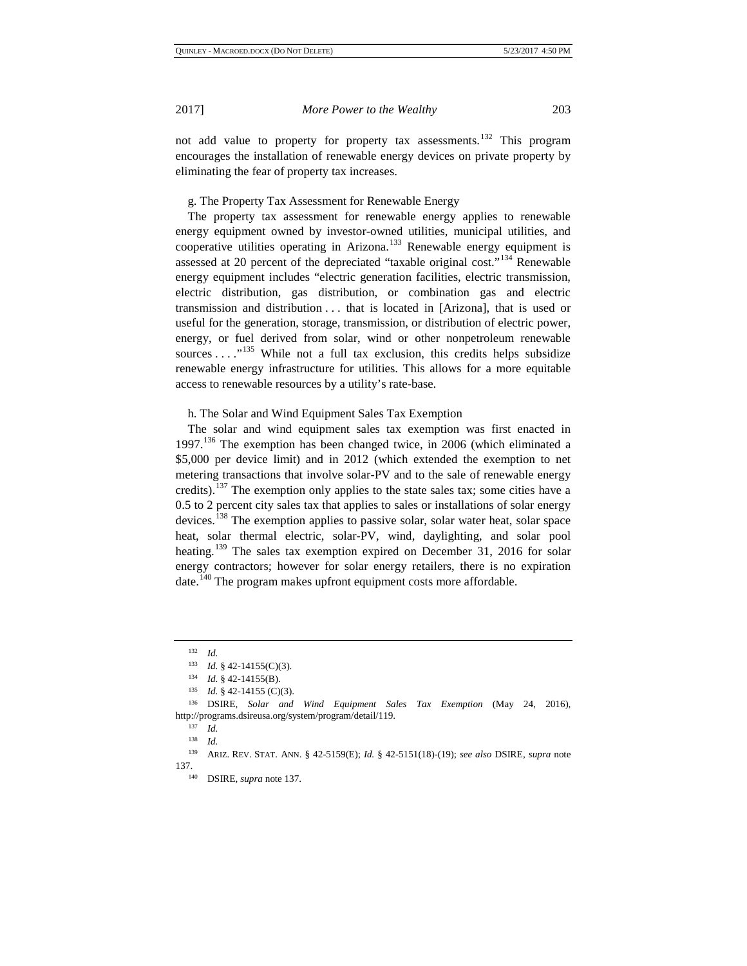not add value to property for property tax assessments.<sup>[132](#page-18-0)</sup> This program encourages the installation of renewable energy devices on private property by eliminating the fear of property tax increases.

g. The Property Tax Assessment for Renewable Energy

The property tax assessment for renewable energy applies to renewable energy equipment owned by investor-owned utilities, municipal utilities, and cooperative utilities operating in Arizona.<sup>[133](#page-18-1)</sup> Renewable energy equipment is assessed at 20 percent of the depreciated "taxable original cost."[134](#page-18-2) Renewable energy equipment includes "electric generation facilities, electric transmission, electric distribution, gas distribution, or combination gas and electric transmission and distribution . . . that is located in [Arizona], that is used or useful for the generation, storage, transmission, or distribution of electric power, energy, or fuel derived from solar, wind or other nonpetroleum renewable sources . . . ."[135](#page-18-3) While not a full tax exclusion, this credits helps subsidize renewable energy infrastructure for utilities. This allows for a more equitable access to renewable resources by a utility's rate-base.

#### h. The Solar and Wind Equipment Sales Tax Exemption

The solar and wind equipment sales tax exemption was first enacted in 1997.<sup>[136](#page-18-4)</sup> The exemption has been changed twice, in 2006 (which eliminated a \$5,000 per device limit) and in 2012 (which extended the exemption to net metering transactions that involve solar-PV and to the sale of renewable energy credits).<sup>[137](#page-18-5)</sup> The exemption only applies to the state sales tax; some cities have a 0.5 to 2 percent city sales tax that applies to sales or installations of solar energy devices.[138](#page-18-6) The exemption applies to passive solar, solar water heat, solar space heat, solar thermal electric, solar-PV, wind, daylighting, and solar pool heating.<sup>[139](#page-18-7)</sup> The sales tax exemption expired on December 31, 2016 for solar energy contractors; however for solar energy retailers, there is no expiration date.<sup>[140](#page-18-8)</sup> The program makes upfront equipment costs more affordable.

 $\frac{132}{133}$  *Id.* 

<sup>&</sup>lt;sup>133</sup> *Id.* § 42-14155(C)(3).<br><sup>134</sup> *Id.* 8 42-14155(B)

 $134$  *Id.* § 42-14155(B).<br> $135$  *Id.* § 42.14155(C)

<sup>&</sup>lt;sup>135</sup> *Id.* § 42-14155 (C)(3).<br><sup>136</sup> DSIDE Solar and

<span id="page-18-5"></span><span id="page-18-4"></span><span id="page-18-3"></span><span id="page-18-2"></span><span id="page-18-1"></span><span id="page-18-0"></span><sup>136</sup> DSIRE, *Solar and Wind Equipment Sales Tax Exemption* (May 24, 2016), http://programs.dsireusa.org/system/program/detail/119. 137 *Id.*

<sup>138</sup> *Id.*

<span id="page-18-8"></span><span id="page-18-7"></span><span id="page-18-6"></span><sup>139</sup> ARIZ. REV. STAT. ANN. § 42-5159(E); *Id.* § 42-5151(18)-(19); *see also* DSIRE, *supra* note 137.

<sup>140</sup> DSIRE, *supra* note 137.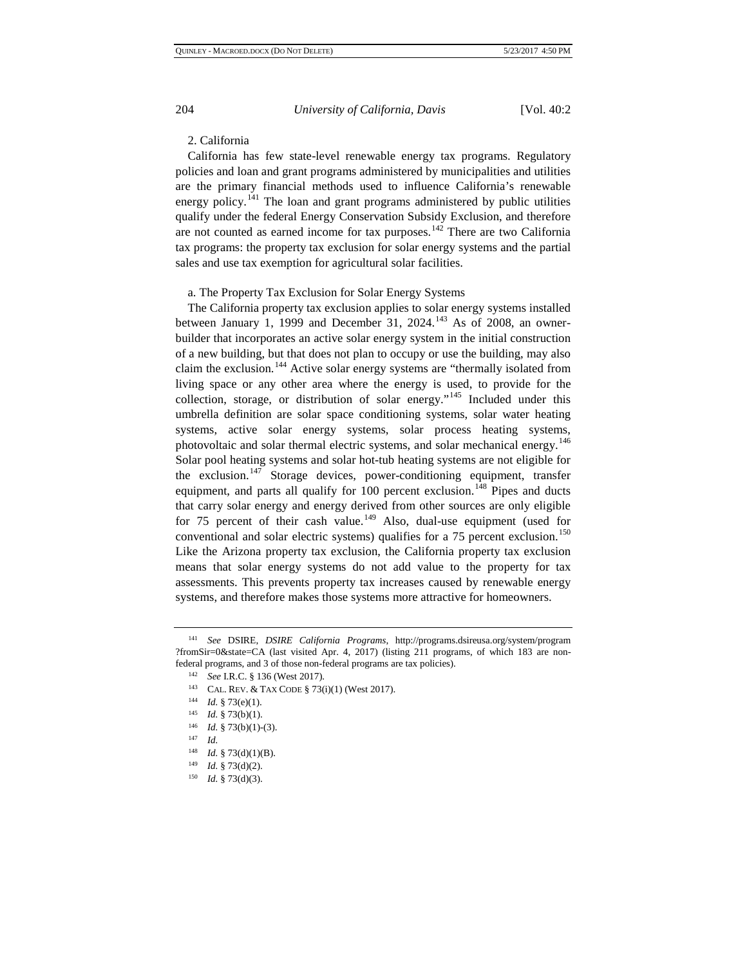### 2. California

California has few state-level renewable energy tax programs. Regulatory policies and loan and grant programs administered by municipalities and utilities are the primary financial methods used to influence California's renewable energy policy.<sup>[141](#page-19-0)</sup> The loan and grant programs administered by public utilities qualify under the federal Energy Conservation Subsidy Exclusion, and therefore are not counted as earned income for tax purposes.<sup>[142](#page-19-1)</sup> There are two California tax programs: the property tax exclusion for solar energy systems and the partial sales and use tax exemption for agricultural solar facilities.

a. The Property Tax Exclusion for Solar Energy Systems

The California property tax exclusion applies to solar energy systems installed between January 1, 1999 and December 31, 2024.<sup>[143](#page-19-2)</sup> As of 2008, an ownerbuilder that incorporates an active solar energy system in the initial construction of a new building, but that does not plan to occupy or use the building, may also claim the exclusion.<sup>[144](#page-19-3)</sup> Active solar energy systems are "thermally isolated from living space or any other area where the energy is used, to provide for the collection, storage, or distribution of solar energy."[145](#page-19-4) Included under this umbrella definition are solar space conditioning systems, solar water heating systems, active solar energy systems, solar process heating systems, photovoltaic and solar thermal electric systems, and solar mechanical energy.<sup>[146](#page-19-5)</sup> Solar pool heating systems and solar hot-tub heating systems are not eligible for the exclusion.<sup>[147](#page-19-6)</sup> Storage devices, power-conditioning equipment, transfer equipment, and parts all qualify for  $100$  percent exclusion.<sup>[148](#page-19-7)</sup> Pipes and ducts that carry solar energy and energy derived from other sources are only eligible for 75 percent of their cash value.<sup>[149](#page-19-8)</sup> Also, dual-use equipment (used for conventional and solar electric systems) qualifies for a  $75$  percent exclusion.<sup>[150](#page-19-9)</sup> Like the Arizona property tax exclusion, the California property tax exclusion means that solar energy systems do not add value to the property for tax assessments. This prevents property tax increases caused by renewable energy systems, and therefore makes those systems more attractive for homeowners.

<span id="page-19-3"></span><span id="page-19-2"></span><span id="page-19-1"></span><span id="page-19-0"></span><sup>141</sup> *See* DSIRE, *DSIRE California Programs*, http://programs.dsireusa.org/system/program ?fromSir=0&state=CA (last visited Apr. 4, 2017) (listing 211 programs, of which 183 are nonfederal programs, and 3 of those non-federal programs are tax policies).

<sup>142</sup> *See* I.R.C. § 136 (West 2017). 143 CAL. REV. & TAX CODE § 73(i)(1) (West 2017).

<sup>144</sup> *Id.* § 73(e)(1).

<sup>145</sup> *Id.* § 73(b)(1).

<span id="page-19-6"></span><span id="page-19-5"></span><span id="page-19-4"></span><sup>146</sup> *Id.* § 73(b)(1)-(3).

<sup>147</sup> *Id.*

<sup>148</sup> *Id.* § 73(d)(1)(B).

<span id="page-19-8"></span><span id="page-19-7"></span><sup>149</sup> *Id.* § 73(d)(2).

<span id="page-19-9"></span><sup>150</sup> *Id.* § 73(d)(3).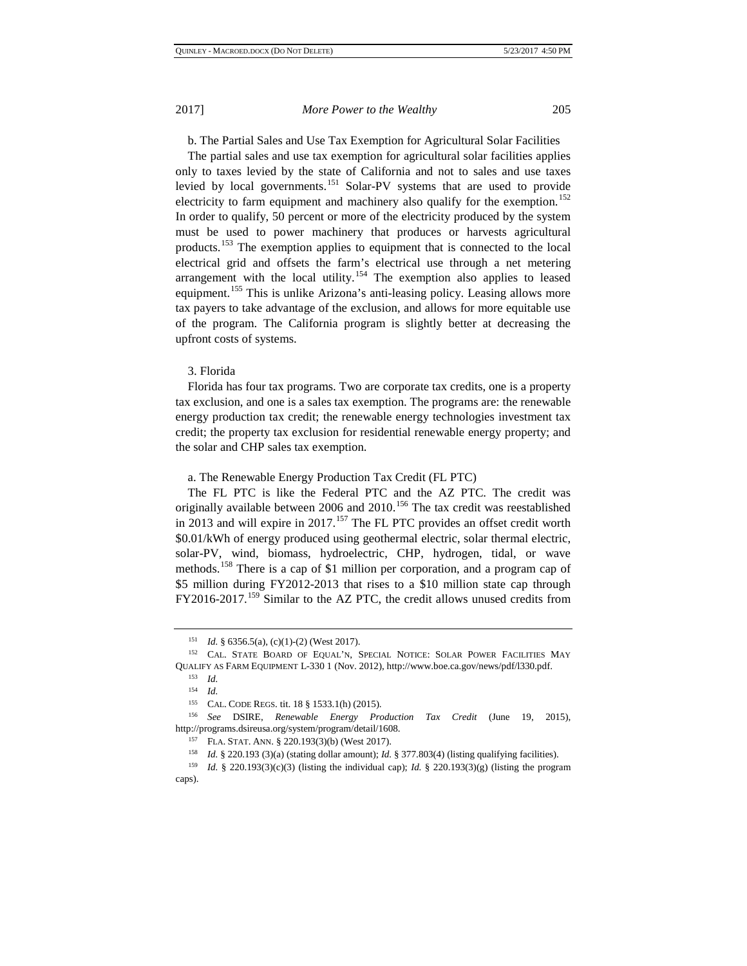b. The Partial Sales and Use Tax Exemption for Agricultural Solar Facilities

The partial sales and use tax exemption for agricultural solar facilities applies only to taxes levied by the state of California and not to sales and use taxes levied by local governments.<sup>[151](#page-20-0)</sup> Solar-PV systems that are used to provide electricity to farm equipment and machinery also qualify for the exemption.<sup>[152](#page-20-1)</sup> In order to qualify, 50 percent or more of the electricity produced by the system must be used to power machinery that produces or harvests agricultural products.<sup>[153](#page-20-2)</sup> The exemption applies to equipment that is connected to the local electrical grid and offsets the farm's electrical use through a net metering arrangement with the local utility.<sup>[154](#page-20-3)</sup> The exemption also applies to leased equipment.<sup>[155](#page-20-4)</sup> This is unlike Arizona's anti-leasing policy. Leasing allows more tax payers to take advantage of the exclusion, and allows for more equitable use of the program. The California program is slightly better at decreasing the upfront costs of systems.

#### 3. Florida

Florida has four tax programs. Two are corporate tax credits, one is a property tax exclusion, and one is a sales tax exemption. The programs are: the renewable energy production tax credit; the renewable energy technologies investment tax credit; the property tax exclusion for residential renewable energy property; and the solar and CHP sales tax exemption.

# a. The Renewable Energy Production Tax Credit (FL PTC)

The FL PTC is like the Federal PTC and the AZ PTC. The credit was originally available between 2006 and 2010.<sup>[156](#page-20-5)</sup> The tax credit was reestablished in 2013 and will expire in 2017.<sup>[157](#page-20-6)</sup> The FL PTC provides an offset credit worth \$0.01/kWh of energy produced using geothermal electric, solar thermal electric, solar-PV, wind, biomass, hydroelectric, CHP, hydrogen, tidal, or wave methods.<sup>[158](#page-20-7)</sup> There is a cap of \$1 million per corporation, and a program cap of \$5 million during FY2012-2013 that rises to a \$10 million state cap through FY2016-2017.[159](#page-20-8) Similar to the AZ PTC, the credit allows unused credits from

<sup>151</sup> *Id.* § 6356.5(a), (c)(1)-(2) (West 2017).

<span id="page-20-2"></span><span id="page-20-1"></span><span id="page-20-0"></span><sup>152</sup> CAL. STATE BOARD OF EQUAL'N, SPECIAL NOTICE: SOLAR POWER FACILITIES MAY QUALIFY AS FARM EQUIPMENT L-330 1 (Nov. 2012), http://www.boe.ca.gov/news/pdf/l330.pdf.<br><sup>153</sup> *Id.*<br>154 *Id* 

 $\frac{154}{155}$  *Id.* 

<sup>&</sup>lt;sup>155</sup> CAL. CODE REGS. tit. 18  $\S$  1533.1(h) (2015).

<span id="page-20-6"></span><span id="page-20-5"></span><span id="page-20-4"></span><span id="page-20-3"></span><sup>156</sup> *See* DSIRE, *Renewable Energy Production Tax Credit* (June 19, 2015), http://programs.dsireusa.org/system/program/detail/1608. 157 FLA. STAT. ANN. § 220.193(3)(b) (West 2017).

*Id.* § 220.193 (3)(a) (stating dollar amount); *Id.* § 377.803(4) (listing qualifying facilities).

<span id="page-20-8"></span><span id="page-20-7"></span><sup>&</sup>lt;sup>159</sup> *Id.* § 220.193(3)(c)(3) (listing the individual cap); *Id.* § 220.193(3)(g) (listing the program caps).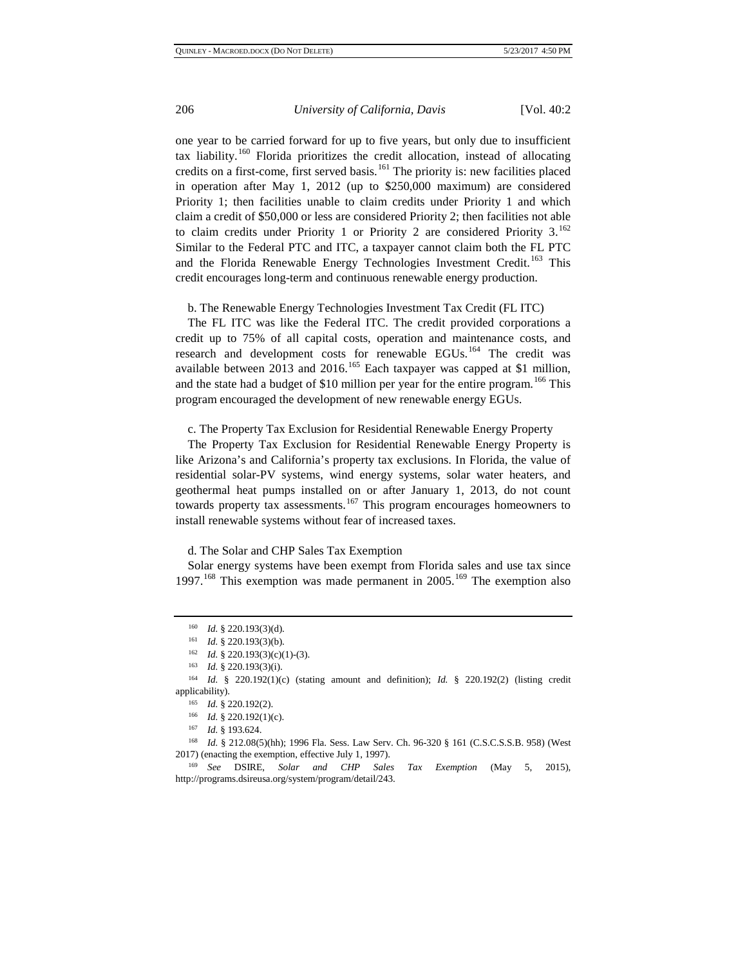one year to be carried forward for up to five years, but only due to insufficient tax liability.<sup>[160](#page-21-0)</sup> Florida prioritizes the credit allocation, instead of allocating credits on a first-come, first served basis.<sup>[161](#page-21-1)</sup> The priority is: new facilities placed in operation after May 1, 2012 (up to \$250,000 maximum) are considered Priority 1; then facilities unable to claim credits under Priority 1 and which claim a credit of \$50,000 or less are considered Priority 2; then facilities not able to claim credits under Priority 1 or Priority 2 are considered Priority  $3.^{162}$  $3.^{162}$  $3.^{162}$ Similar to the Federal PTC and ITC, a taxpayer cannot claim both the FL PTC and the Florida Renewable Energy Technologies Investment Credit.<sup>[163](#page-21-3)</sup> This credit encourages long-term and continuous renewable energy production.

b. The Renewable Energy Technologies Investment Tax Credit (FL ITC)

The FL ITC was like the Federal ITC. The credit provided corporations a credit up to 75% of all capital costs, operation and maintenance costs, and research and development costs for renewable EGUs.<sup>[164](#page-21-4)</sup> The credit was available between 2013 and 2016.<sup>[165](#page-21-5)</sup> Each taxpayer was capped at \$1 million, and the state had a budget of \$10 million per year for the entire program.<sup>[166](#page-21-6)</sup> This program encouraged the development of new renewable energy EGUs.

c. The Property Tax Exclusion for Residential Renewable Energy Property

The Property Tax Exclusion for Residential Renewable Energy Property is like Arizona's and California's property tax exclusions. In Florida, the value of residential solar-PV systems, wind energy systems, solar water heaters, and geothermal heat pumps installed on or after January 1, 2013, do not count towards property tax assessments.<sup>[167](#page-21-7)</sup> This program encourages homeowners to install renewable systems without fear of increased taxes.

d. The Solar and CHP Sales Tax Exemption

Solar energy systems have been exempt from Florida sales and use tax since 1997.<sup>[168](#page-21-8)</sup> This exemption was made permanent in 2005.<sup>[169](#page-21-9)</sup> The exemption also

<sup>160</sup> *Id.* § 220.193(3)(d).

<sup>161</sup> *Id.* § 220.193(3)(b).

<sup>162</sup> *Id.* § 220.193(3)(c)(1)-(3).

<sup>163</sup> *Id.* § 220.193(3)(i).

<span id="page-21-5"></span><span id="page-21-4"></span><span id="page-21-3"></span><span id="page-21-2"></span><span id="page-21-1"></span><span id="page-21-0"></span><sup>164</sup> *Id.* § 220.192(1)(c) (stating amount and definition); *Id.* § 220.192(2) (listing credit applicability).<br> $\frac{165}{148}$ 

<sup>165</sup> *Id.* § 220.192(2).<br><sup>166</sup> *Id.* § 220.192(1)(c).<br><sup>167</sup> *Id.* 8 193.624

<sup>167</sup> *Id.* § 193.624.

<span id="page-21-8"></span><span id="page-21-7"></span><span id="page-21-6"></span><sup>&</sup>lt;sup>168</sup> *Id.* § 212.08(5)(hh); 1996 Fla. Sess. Law Serv. Ch. 96-320 § 161 (C.S.C.S.S.B. 958) (West 2017) (enacting the exemption, effective July 1, 1997).

<span id="page-21-9"></span><sup>169</sup> *See* DSIRE, *Solar and CHP Sales Tax Exemption* (May 5, 2015), http://programs.dsireusa.org/system/program/detail/243.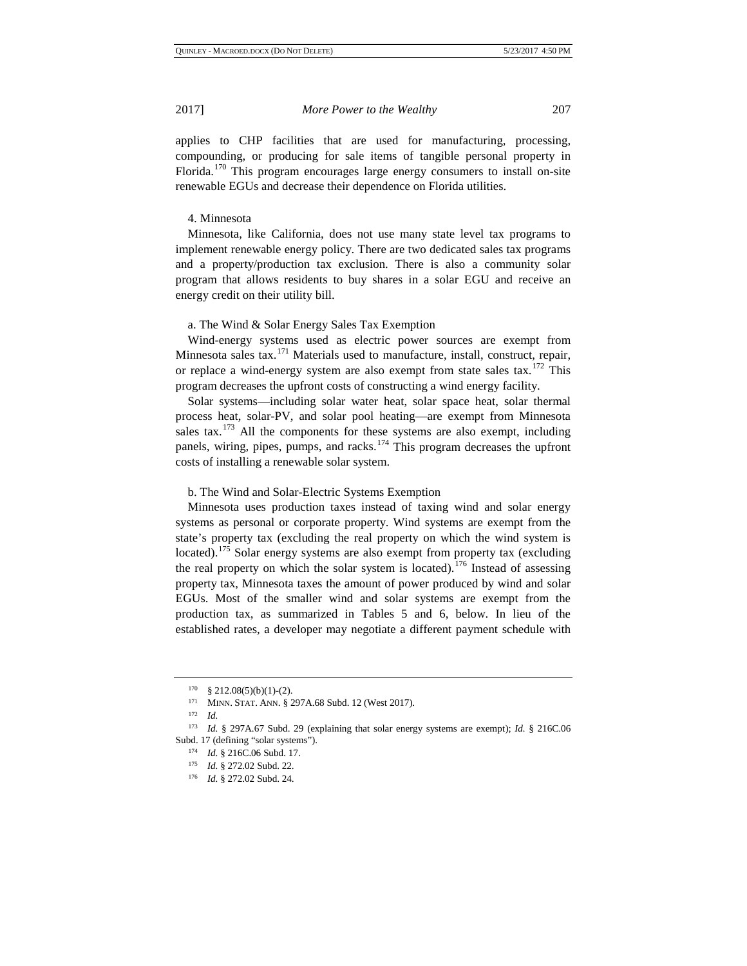applies to CHP facilities that are used for manufacturing, processing, compounding, or producing for sale items of tangible personal property in Florida.<sup>[170](#page-22-0)</sup> This program encourages large energy consumers to install on-site renewable EGUs and decrease their dependence on Florida utilities.

#### 4. Minnesota

Minnesota, like California, does not use many state level tax programs to implement renewable energy policy. There are two dedicated sales tax programs and a property/production tax exclusion. There is also a community solar program that allows residents to buy shares in a solar EGU and receive an energy credit on their utility bill.

### a. The Wind & Solar Energy Sales Tax Exemption

Wind-energy systems used as electric power sources are exempt from Minnesota sales tax.<sup>[171](#page-22-1)</sup> Materials used to manufacture, install, construct, repair, or replace a wind-energy system are also exempt from state sales tax.<sup>[172](#page-22-2)</sup> This program decreases the upfront costs of constructing a wind energy facility.

Solar systems—including solar water heat, solar space heat, solar thermal process heat, solar-PV, and solar pool heating—are exempt from Minnesota sales tax.<sup>[173](#page-22-3)</sup> All the components for these systems are also exempt, including panels, wiring, pipes, pumps, and racks.<sup>[174](#page-22-4)</sup> This program decreases the upfront costs of installing a renewable solar system.

#### b. The Wind and Solar-Electric Systems Exemption

Minnesota uses production taxes instead of taxing wind and solar energy systems as personal or corporate property. Wind systems are exempt from the state's property tax (excluding the real property on which the wind system is located).<sup>[175](#page-22-5)</sup> Solar energy systems are also exempt from property tax (excluding the real property on which the solar system is located).<sup>[176](#page-22-6)</sup> Instead of assessing property tax, Minnesota taxes the amount of power produced by wind and solar EGUs. Most of the smaller wind and solar systems are exempt from the production tax, as summarized in Tables 5 and 6, below. In lieu of the established rates, a developer may negotiate a different payment schedule with

 $170 \quad \text{§ } 212.08(5)(b)(1)-(2).$ 

<sup>171</sup> MINN. STAT. ANN. § 297A.68 Subd. 12 (West 2017).

<sup>172</sup> *Id.* 

<span id="page-22-6"></span><span id="page-22-5"></span><span id="page-22-4"></span><span id="page-22-3"></span><span id="page-22-2"></span><span id="page-22-1"></span><span id="page-22-0"></span><sup>173</sup> *Id.* § 297A.67 Subd. 29 (explaining that solar energy systems are exempt); *Id.* § 216C.06 Subd. 17 (defining "solar systems").

<sup>174</sup> *Id.* § 216C.06 Subd. 17.

<sup>175</sup> *Id.* § 272.02 Subd. 22.

<sup>176</sup> *Id.* § 272.02 Subd. 24.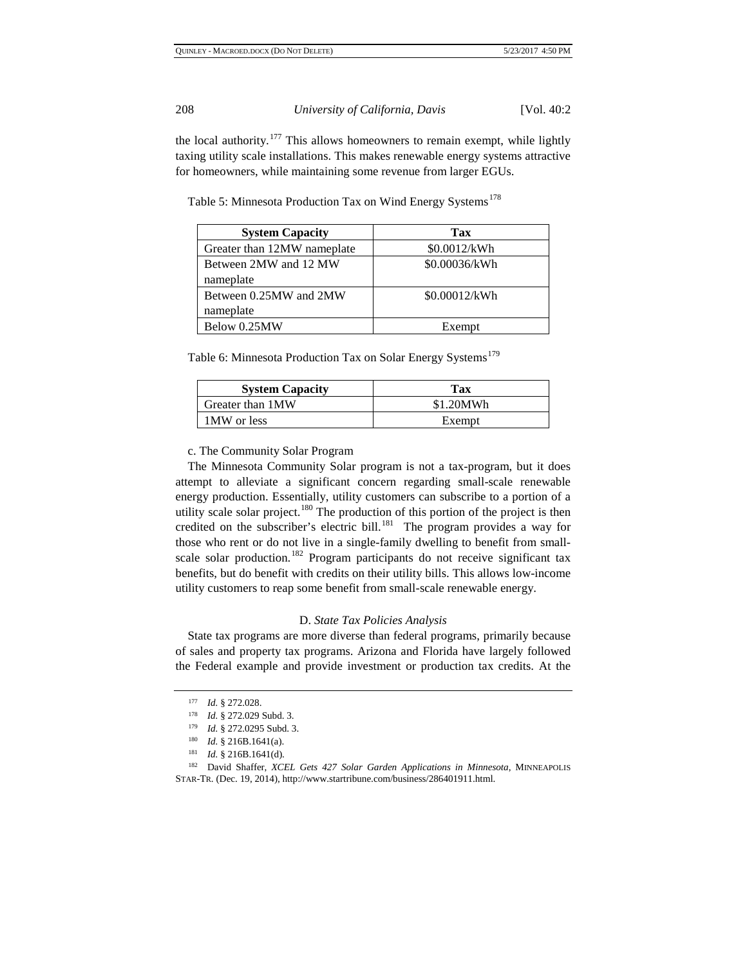the local authority.<sup>[177](#page-23-0)</sup> This allows homeowners to remain exempt, while lightly taxing utility scale installations. This makes renewable energy systems attractive for homeowners, while maintaining some revenue from larger EGUs.

| Table 5: Minnesota Production Tax on Wind Energy Systems <sup>178</sup> |  |  |
|-------------------------------------------------------------------------|--|--|
|                                                                         |  |  |

| <b>System Capacity</b>      | Tax           |
|-----------------------------|---------------|
| Greater than 12MW nameplate | \$0.0012/kWh  |
| Between 2MW and 12 MW       | \$0.00036/kWh |
| nameplate                   |               |
| Between 0.25MW and 2MW      | \$0.00012/kWh |
| nameplate                   |               |
| Below 0.25MW                | Exempt        |

Table 6: Minnesota Production Tax on Solar Energy Systems<sup>[179](#page-23-2)</sup>

| <b>System Capacity</b> | Tax       |
|------------------------|-----------|
| Greater than 1MW       | \$1.20MWh |
| 1MW or less            | Exempt    |

# c. The Community Solar Program

The Minnesota Community Solar program is not a tax-program, but it does attempt to alleviate a significant concern regarding small-scale renewable energy production. Essentially, utility customers can subscribe to a portion of a utility scale solar project.<sup>[180](#page-23-3)</sup> The production of this portion of the project is then credited on the subscriber's electric bill. $181$  The program provides a way for those who rent or do not live in a single-family dwelling to benefit from small-scale solar production.<sup>[182](#page-23-5)</sup> Program participants do not receive significant tax benefits, but do benefit with credits on their utility bills. This allows low-income utility customers to reap some benefit from small-scale renewable energy.

#### D. *State Tax Policies Analysis*

State tax programs are more diverse than federal programs, primarily because of sales and property tax programs. Arizona and Florida have largely followed the Federal example and provide investment or production tax credits. At the

<sup>177</sup> *Id.* § 272.028.

<sup>178</sup> *Id.* § 272.029 Subd. 3.

<sup>179</sup> *Id.* § 272.0295 Subd. 3.

<sup>180</sup> *Id.* § 216B.1641(a).

<sup>181</sup> *Id.* § 216B.1641(d).

<span id="page-23-5"></span><span id="page-23-4"></span><span id="page-23-3"></span><span id="page-23-2"></span><span id="page-23-1"></span><span id="page-23-0"></span><sup>182</sup> David Shaffer, *XCEL Gets 427 Solar Garden Applications in Minnesota*, MINNEAPOLIS STAR-TR. (Dec. 19, 2014), http://www.startribune.com/business/286401911.html.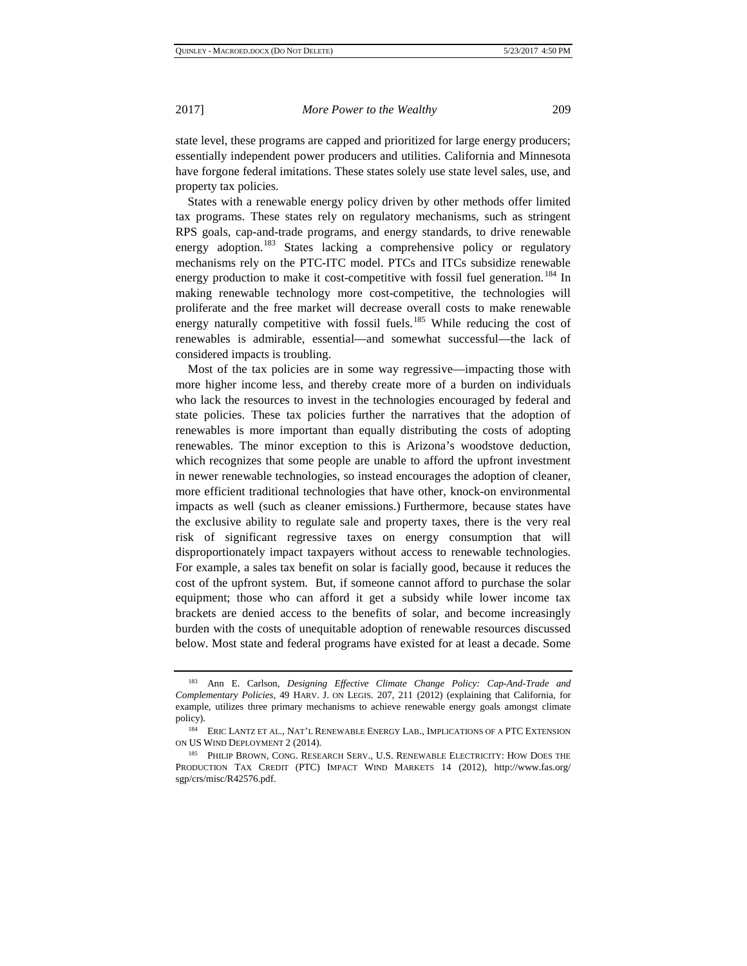state level, these programs are capped and prioritized for large energy producers; essentially independent power producers and utilities. California and Minnesota have forgone federal imitations. These states solely use state level sales, use, and property tax policies.

States with a renewable energy policy driven by other methods offer limited tax programs. These states rely on regulatory mechanisms, such as stringent RPS goals, cap-and-trade programs, and energy standards, to drive renewable energy adoption.<sup>[183](#page-24-0)</sup> States lacking a comprehensive policy or regulatory mechanisms rely on the PTC-ITC model. PTCs and ITCs subsidize renewable energy production to make it cost-competitive with fossil fuel generation.<sup>[184](#page-24-1)</sup> In making renewable technology more cost-competitive, the technologies will proliferate and the free market will decrease overall costs to make renewable energy naturally competitive with fossil fuels.<sup>[185](#page-24-2)</sup> While reducing the cost of renewables is admirable, essential—and somewhat successful—the lack of considered impacts is troubling.

Most of the tax policies are in some way regressive—impacting those with more higher income less, and thereby create more of a burden on individuals who lack the resources to invest in the technologies encouraged by federal and state policies. These tax policies further the narratives that the adoption of renewables is more important than equally distributing the costs of adopting renewables. The minor exception to this is Arizona's woodstove deduction, which recognizes that some people are unable to afford the upfront investment in newer renewable technologies, so instead encourages the adoption of cleaner, more efficient traditional technologies that have other, knock-on environmental impacts as well (such as cleaner emissions.) Furthermore, because states have the exclusive ability to regulate sale and property taxes, there is the very real risk of significant regressive taxes on energy consumption that will disproportionately impact taxpayers without access to renewable technologies. For example, a sales tax benefit on solar is facially good, because it reduces the cost of the upfront system. But, if someone cannot afford to purchase the solar equipment; those who can afford it get a subsidy while lower income tax brackets are denied access to the benefits of solar, and become increasingly burden with the costs of unequitable adoption of renewable resources discussed below. Most state and federal programs have existed for at least a decade. Some

<span id="page-24-0"></span><sup>183</sup> Ann E. Carlson, *Designing Effective Climate Change Policy: Cap-And-Trade and Complementary Policies,* 49 HARV. J. ON LEGIS. 207, 211 (2012) (explaining that California, for example, utilizes three primary mechanisms to achieve renewable energy goals amongst climate policy). 184 ERIC LANTZ ET AL., NAT'L RENEWABLE ENERGY LAB., IMPLICATIONS OF A PTC EXTENSION

<span id="page-24-1"></span>ON US WIND DEPLOYMENT 2 (2014).

<span id="page-24-2"></span><sup>185</sup> PHILIP BROWN, CONG. RESEARCH SERV., U.S. RENEWABLE ELECTRICITY: HOW DOES THE PRODUCTION TAX CREDIT (PTC) IMPACT WIND MARKETS 14 (2012), http://www.fas.org/ sgp/crs/misc/R42576.pdf.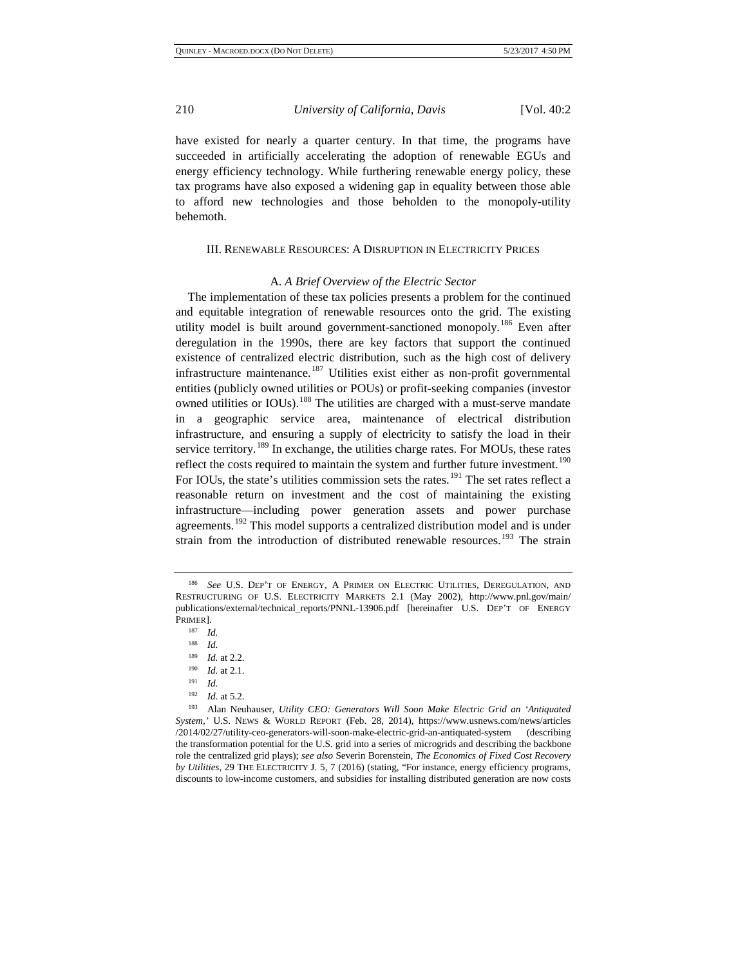have existed for nearly a quarter century. In that time, the programs have succeeded in artificially accelerating the adoption of renewable EGUs and energy efficiency technology. While furthering renewable energy policy, these tax programs have also exposed a widening gap in equality between those able to afford new technologies and those beholden to the monopoly-utility behemoth.

### III. RENEWABLE RESOURCES: A DISRUPTION IN ELECTRICITY PRICES

#### A. *A Brief Overview of the Electric Sector*

The implementation of these tax policies presents a problem for the continued and equitable integration of renewable resources onto the grid. The existing utility model is built around government-sanctioned monopoly.<sup>[186](#page-25-0)</sup> Even after deregulation in the 1990s, there are key factors that support the continued existence of centralized electric distribution, such as the high cost of delivery infrastructure maintenance.<sup>[187](#page-25-1)</sup> Utilities exist either as non-profit governmental entities (publicly owned utilities or POUs) or profit-seeking companies (investor owned utilities or IOUs).<sup>[188](#page-25-2)</sup> The utilities are charged with a must-serve mandate in a geographic service area, maintenance of electrical distribution infrastructure, and ensuring a supply of electricity to satisfy the load in their service territory.<sup>[189](#page-25-3)</sup> In exchange, the utilities charge rates. For MOUs, these rates reflect the costs required to maintain the system and further future investment.<sup>[190](#page-25-4)</sup> For IOUs, the state's utilities commission sets the rates.<sup>[191](#page-25-5)</sup> The set rates reflect a reasonable return on investment and the cost of maintaining the existing infrastructure—including power generation assets and power purchase agreements.<sup>[192](#page-25-6)</sup> This model supports a centralized distribution model and is under strain from the introduction of distributed renewable resources.<sup>[193](#page-25-7)</sup> The strain

<span id="page-25-2"></span><span id="page-25-1"></span><span id="page-25-0"></span><sup>186</sup> *See* U.S. DEP'T OF ENERGY, A PRIMER ON ELECTRIC UTILITIES, DEREGULATION, AND RESTRUCTURING OF U.S. ELECTRICITY MARKETS 2.1 (May 2002), http://www.pnl.gov/main/ publications/external/technical\_reports/PNNL-13906.pdf [hereinafter U.S. DEP'T OF ENERGY PRIMER].

 $\frac{187}{188}$  *Id.* 

*Id.* 

 $\frac{189}{190}$  *Id.* at 2.2.

*Id.* at 2.1.

<sup>191</sup> *Id.*

<sup>192</sup> *Id.* at 5.2.

<span id="page-25-7"></span><span id="page-25-6"></span><span id="page-25-5"></span><span id="page-25-4"></span><span id="page-25-3"></span><sup>193</sup> Alan Neuhauser, *Utility CEO: Generators Will Soon Make Electric Grid an 'Antiquated System,'* U.S. NEWS & WORLD REPORT (Feb. 28, 2014), https://www.usnews.com/news/articles /2014/02/27/utility-ceo-generators-will-soon-make-electric-grid-an-antiquated-system (describing the transformation potential for the U.S. grid into a series of microgrids and describing the backbone role the centralized grid plays); *see also* Severin Borenstein, *The Economics of Fixed Cost Recovery by Utilities*, 29 THE ELECTRICITY J. 5, 7 (2016) (stating, "For instance, energy efficiency programs, discounts to low-income customers, and subsidies for installing distributed generation are now costs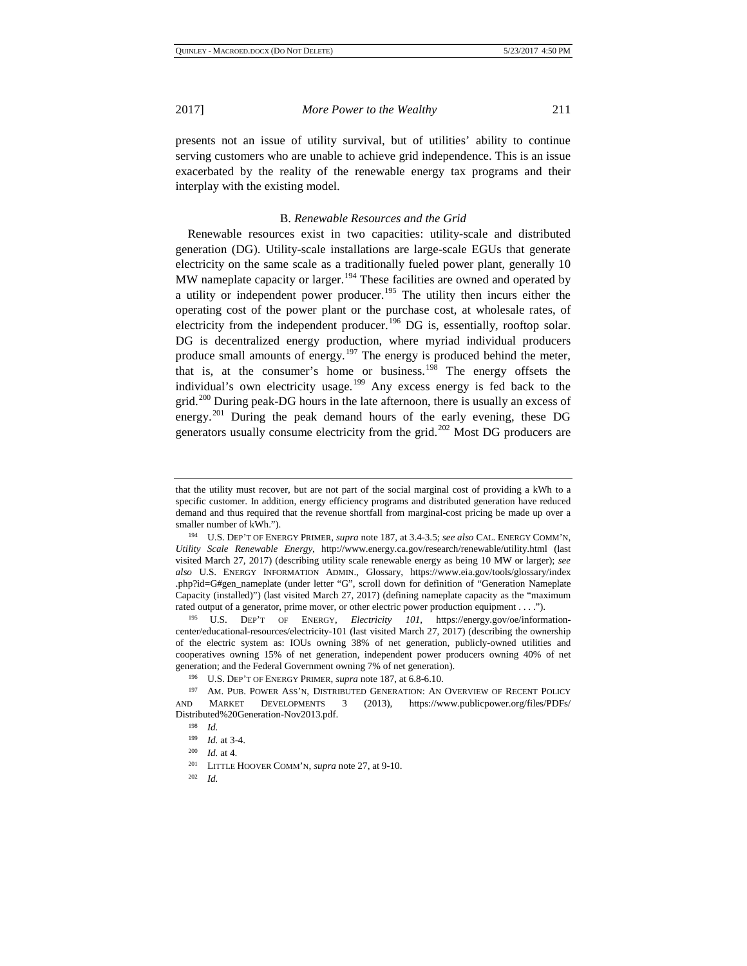presents not an issue of utility survival, but of utilities' ability to continue serving customers who are unable to achieve grid independence. This is an issue exacerbated by the reality of the renewable energy tax programs and their interplay with the existing model.

#### B. *Renewable Resources and the Grid*

Renewable resources exist in two capacities: utility-scale and distributed generation (DG). Utility-scale installations are large-scale EGUs that generate electricity on the same scale as a traditionally fueled power plant, generally 10 MW nameplate capacity or larger.<sup>[194](#page-26-0)</sup> These facilities are owned and operated by a utility or independent power producer.<sup>[195](#page-26-1)</sup> The utility then incurs either the operating cost of the power plant or the purchase cost, at wholesale rates, of electricity from the independent producer.<sup>[196](#page-26-2)</sup> DG is, essentially, rooftop solar. DG is decentralized energy production, where myriad individual producers produce small amounts of energy.<sup>[197](#page-26-3)</sup> The energy is produced behind the meter, that is, at the consumer's home or business.<sup>[198](#page-26-4)</sup> The energy offsets the individual's own electricity usage.<sup>[199](#page-26-5)</sup> Any excess energy is fed back to the grid.<sup>[200](#page-26-6)</sup> During peak-DG hours in the late afternoon, there is usually an excess of energy.<sup>[201](#page-26-7)</sup> During the peak demand hours of the early evening, these DG generators usually consume electricity from the grid.<sup>[202](#page-26-8)</sup> Most DG producers are

<span id="page-26-1"></span>center/educational-resources/electricity-101 (last visited March 27, 2017) (describing the ownership of the electric system as: IOUs owning 38% of net generation, publicly-owned utilities and cooperatives owning 15% of net generation, independent power producers owning 40% of net generation; and the Federal Government owning 7% of net generation).

that the utility must recover, but are not part of the social marginal cost of providing a kWh to a specific customer. In addition, energy efficiency programs and distributed generation have reduced demand and thus required that the revenue shortfall from marginal-cost pricing be made up over a smaller number of kWh.").

<span id="page-26-0"></span><sup>194</sup> U.S. DEP'T OF ENERGY PRIMER, *supra* note 187, at 3.4-3.5; *see also* CAL. ENERGY COMM'N, *Utility Scale Renewable Energy*, http://www.energy.ca.gov/research/renewable/utility.html (last visited March 27, 2017) (describing utility scale renewable energy as being 10 MW or larger); *see also* U.S. ENERGY INFORMATION ADMIN., Glossary, https://www.eia.gov/tools/glossary/index .php?id=G#gen\_nameplate (under letter "G", scroll down for definition of "Generation Nameplate Capacity (installed)") (last visited March 27, 2017) (defining nameplate capacity as the "maximum rated output of a generator, prime mover, or other electric power production equipment . . . .").<br><sup>195</sup> U.S. DEP'T OF ENERGY, *Electricity 101*, https://energy.gov/oe/information-

<span id="page-26-5"></span><span id="page-26-4"></span><span id="page-26-3"></span><span id="page-26-2"></span><sup>&</sup>lt;sup>196</sup> U.S. DEP'T OF ENERGY PRIMER, *supra* note 187, at 6.8-6.10.<br><sup>197</sup> AM. PUB. POWER ASS'N, DISTRIBUTED GENERATION: AN OVERVIEW OF RECENT POLICY AND MARKET DEVELOPMENTS 3 (2013), https://www.publicpower.org/files/PDFs/ Distributed%20Generation-Nov2013.pdf.

<sup>&</sup>lt;sup>198</sup> *Id.*  $1^{99}$  *Id.* at 3-4.

<span id="page-26-7"></span><span id="page-26-6"></span><sup>199</sup> *Id.* at 3-4. 200 *Id.* at 4. 201 LITTLE HOOVER COMM'N, *supra* note 27, at 9-10.

<span id="page-26-8"></span><sup>202</sup> *Id.*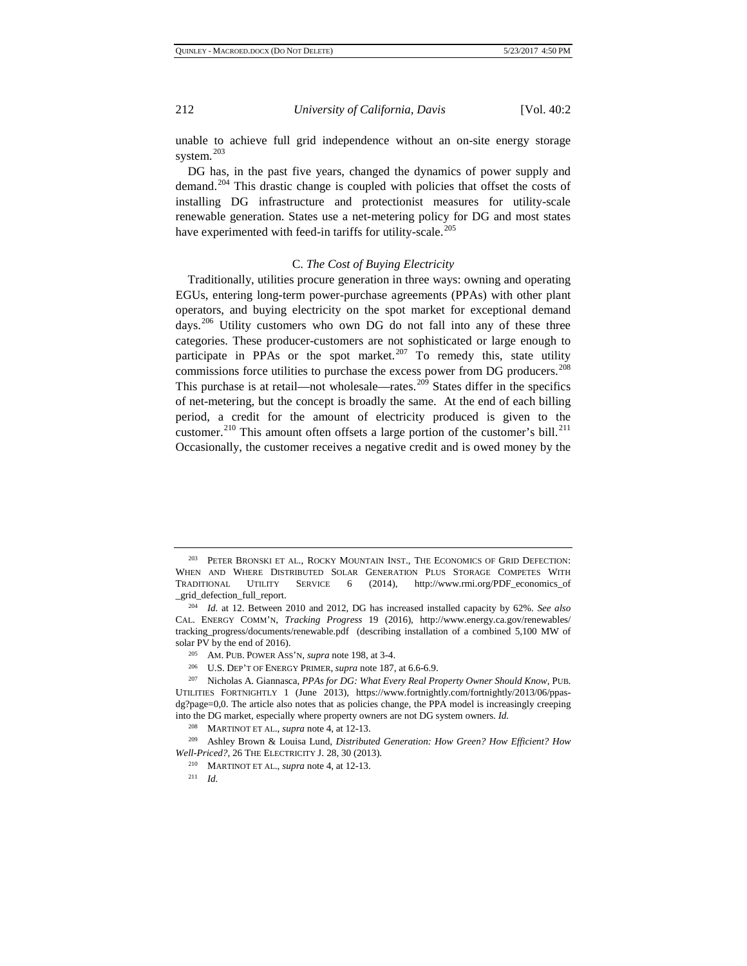unable to achieve full grid independence without an on-site energy storage system.<sup>[203](#page-27-0)</sup>

DG has, in the past five years, changed the dynamics of power supply and demand.[204](#page-27-1) This drastic change is coupled with policies that offset the costs of installing DG infrastructure and protectionist measures for utility-scale renewable generation. States use a net-metering policy for DG and most states have experimented with feed-in tariffs for utility-scale.<sup>[205](#page-27-2)</sup>

#### C. *The Cost of Buying Electricity*

Traditionally, utilities procure generation in three ways: owning and operating EGUs, entering long-term power-purchase agreements (PPAs) with other plant operators, and buying electricity on the spot market for exceptional demand days.<sup>[206](#page-27-3)</sup> Utility customers who own DG do not fall into any of these three categories. These producer-customers are not sophisticated or large enough to participate in PPAs or the spot market.<sup>[207](#page-27-4)</sup> To remedy this, state utility commissions force utilities to purchase the excess power from DG producers.<sup>[208](#page-27-5)</sup> This purchase is at retail—not wholesale—rates.<sup>[209](#page-27-6)</sup> States differ in the specifics of net-metering, but the concept is broadly the same. At the end of each billing period, a credit for the amount of electricity produced is given to the customer.<sup>[210](#page-27-7)</sup> This amount often offsets a large portion of the customer's bill.<sup>[211](#page-27-8)</sup> Occasionally, the customer receives a negative credit and is owed money by the

<span id="page-27-0"></span><sup>203</sup> PETER BRONSKI ET AL., ROCKY MOUNTAIN INST., THE ECONOMICS OF GRID DEFECTION: WHEN AND WHERE DISTRIBUTED SOLAR GENERATION PLUS STORAGE COMPETES WITH TRADITIONAL UTILITY SERVICE 6 (2014), http://www.rmi.org/PDF\_economics\_of \_grid\_defection\_full\_report.

<span id="page-27-1"></span><sup>204</sup> *Id.* at 12. Between 2010 and 2012, DG has increased installed capacity by 62%. *See also*  CAL. ENERGY COMM'N, *Tracking Progress* 19 (2016), http://www.energy.ca.gov/renewables/ tracking\_progress/documents/renewable.pdf (describing installation of a combined 5,100 MW of solar PV by the end of 2016).

<sup>205</sup> AM. PUB. POWER ASS'N, *supra* note 198, at 3-4.

<sup>206</sup> U.S. DEP'T OF ENERGY PRIMER, *supra* note 187, at 6.6-6.9.

<span id="page-27-4"></span><span id="page-27-3"></span><span id="page-27-2"></span><sup>207</sup> Nicholas A. Giannasca, *PPAs for DG: What Every Real Property Owner Should Know*, PUB. UTILITIES FORTNIGHTLY 1 (June 2013), https://www.fortnightly.com/fortnightly/2013/06/ppasdg?page=0,0. The article also notes that as policies change, the PPA model is increasingly creeping into the DG market, especially where property owners are not DG system owners. *Id.*

<sup>208</sup> MARTINOT ET AL., *supra* note 4, at 12-13.

<span id="page-27-8"></span><span id="page-27-7"></span><span id="page-27-6"></span><span id="page-27-5"></span><sup>209</sup> Ashley Brown & Louisa Lund, *Distributed Generation: How Green? How Efficient? How Well-Priced?*, 26 THE ELECTRICITY J. 28, 30 (2013). 210 MARTINOT ET AL., *supra* note 4, at 12-13.

<sup>211</sup> *Id.*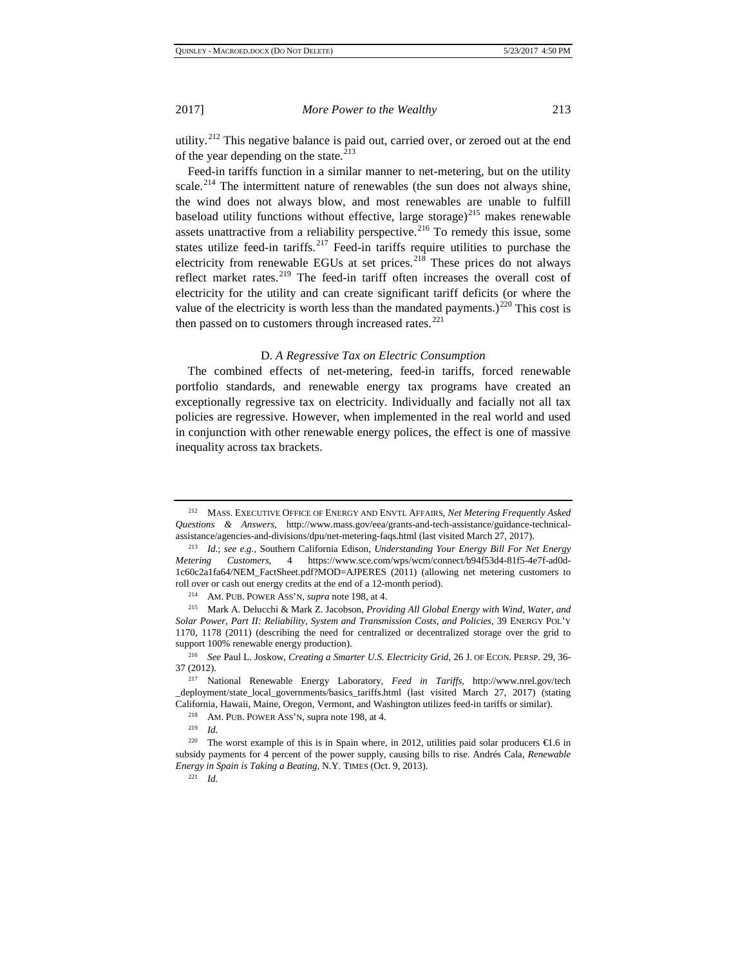utility.<sup>[212](#page-28-0)</sup> This negative balance is paid out, carried over, or zeroed out at the end of the year depending on the state.<sup>[213](#page-28-1)</sup>

Feed-in tariffs function in a similar manner to net-metering, but on the utility scale.<sup>[214](#page-28-2)</sup> The intermittent nature of renewables (the sun does not always shine, the wind does not always blow, and most renewables are unable to fulfill baseload utility functions without effective, large storage)<sup>[215](#page-28-3)</sup> makes renewable assets unattractive from a reliability perspective.<sup>[216](#page-28-4)</sup> To remedy this issue, some states utilize feed-in tariffs.<sup>[217](#page-28-5)</sup> Feed-in tariffs require utilities to purchase the electricity from renewable EGUs at set prices.<sup>[218](#page-28-6)</sup> These prices do not always reflect market rates.<sup>[219](#page-28-7)</sup> The feed-in tariff often increases the overall cost of electricity for the utility and can create significant tariff deficits (or where the value of the electricity is worth less than the mandated payments.)<sup>[220](#page-28-8)</sup> This cost is then passed on to customers through increased rates. $^{221}$  $^{221}$  $^{221}$ 

#### D. *A Regressive Tax on Electric Consumption*

The combined effects of net-metering, feed-in tariffs, forced renewable portfolio standards, and renewable energy tax programs have created an exceptionally regressive tax on electricity. Individually and facially not all tax policies are regressive. However, when implemented in the real world and used in conjunction with other renewable energy polices, the effect is one of massive inequality across tax brackets.

<span id="page-28-0"></span><sup>212</sup> MASS. EXECUTIVE OFFICE OF ENERGY AND ENVTL AFFAIRS, *Net Metering Frequently Asked Questions & Answers*, http://www.mass.gov/eea/grants-and-tech-assistance/guidance-technical-

<span id="page-28-1"></span>assistance/agencies-and-divisions/dpu/net-metering-faqs.html (last visited March 27, 2017). 213 *Id.*; *see e.g.,* Southern California Edison, *Understanding Your Energy Bill For Net Energy Metering Customers*, 4 https://www.sce.com/wps/wcm/connect/b94f53d4-81f5-4e7f-ad0d-1c60c2a1fa64/NEM\_FactSheet.pdf?MOD=AJPERES (2011) (allowing net metering customers to roll over or cash out energy credits at the end of a 12-month period). 214 AM. PUB. POWER ASS'N, *supra* note 198, at 4.

<span id="page-28-3"></span><span id="page-28-2"></span><sup>215</sup> Mark A. Delucchi & Mark Z. Jacobson, *Providing All Global Energy with Wind, Water, and Solar Power, Part II: Reliability, System and Transmission Costs, and Policies*, 39 ENERGY POL'Y 1170, 1178 (2011) (describing the need for centralized or decentralized storage over the grid to support 100% renewable energy production).

<span id="page-28-4"></span><sup>216</sup> *See* Paul L. Joskow, *Creating a Smarter U.S. Electricity Grid*, 26 J. OF ECON. PERSP. 29, 36- 37 (2012).

<span id="page-28-5"></span><sup>217</sup> National Renewable Energy Laboratory, *Feed in Tariffs,* http://www.nrel.gov/tech \_deployment/state\_local\_governments/basics\_tariffs.html (last visited March 27, 2017) (stating California, Hawaii, Maine, Oregon, Vermont, and Washington utilizes feed-in tariffs or similar). 218 AM. PUB. POWER ASS'N, supra note 198, at 4.

<sup>219</sup> *Id.*

<span id="page-28-9"></span><span id="page-28-8"></span><span id="page-28-7"></span><span id="page-28-6"></span><sup>&</sup>lt;sup>220</sup> The worst example of this is in Spain where, in 2012, utilities paid solar producers  $\bigoplus$ .6 in subsidy payments for 4 percent of the power supply, causing bills to rise. Andrés Cala, *Renewable Energy in Spain is Taking a Beating*, N.Y. TIMES (Oct. 9, 2013). 221 *Id.*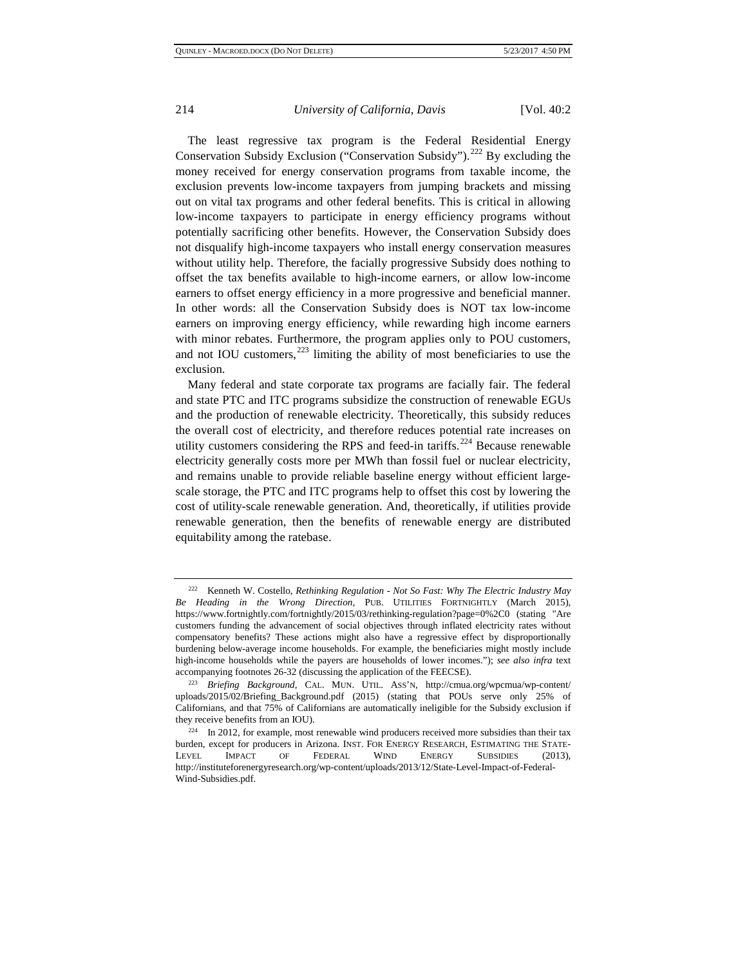The least regressive tax program is the Federal Residential Energy Conservation Subsidy Exclusion ("Conservation Subsidy").<sup>[222](#page-29-0)</sup> By excluding the money received for energy conservation programs from taxable income, the exclusion prevents low-income taxpayers from jumping brackets and missing out on vital tax programs and other federal benefits. This is critical in allowing low-income taxpayers to participate in energy efficiency programs without potentially sacrificing other benefits. However, the Conservation Subsidy does not disqualify high-income taxpayers who install energy conservation measures without utility help. Therefore, the facially progressive Subsidy does nothing to offset the tax benefits available to high-income earners, or allow low-income earners to offset energy efficiency in a more progressive and beneficial manner. In other words: all the Conservation Subsidy does is NOT tax low-income earners on improving energy efficiency, while rewarding high income earners with minor rebates. Furthermore, the program applies only to POU customers, and not IOU customers, $223$  limiting the ability of most beneficiaries to use the exclusion.

Many federal and state corporate tax programs are facially fair. The federal and state PTC and ITC programs subsidize the construction of renewable EGUs and the production of renewable electricity. Theoretically, this subsidy reduces the overall cost of electricity, and therefore reduces potential rate increases on utility customers considering the RPS and feed-in tariffs.<sup>[224](#page-29-2)</sup> Because renewable electricity generally costs more per MWh than fossil fuel or nuclear electricity, and remains unable to provide reliable baseline energy without efficient largescale storage, the PTC and ITC programs help to offset this cost by lowering the cost of utility-scale renewable generation. And, theoretically, if utilities provide renewable generation, then the benefits of renewable energy are distributed equitability among the ratebase.

<span id="page-29-0"></span><sup>222</sup> Kenneth W. Costello, *Rethinking Regulation - Not So Fast: Why The Electric Industry May Be Heading in the Wrong Direction*, PUB. UTILITIES FORTNIGHTLY (March 2015), https://www.fortnightly.com/fortnightly/2015/03/rethinking-regulation?page=0%2C0 (stating "Are customers funding the advancement of social objectives through inflated electricity rates without compensatory benefits? These actions might also have a regressive effect by disproportionally burdening below-average income households. For example, the beneficiaries might mostly include high-income households while the payers are households of lower incomes."); *see also infra* text accompanying footnotes 26-32 (discussing the application of the FEECSE).

<span id="page-29-1"></span><sup>223</sup> *Briefing Background*, CAL. MUN. UTIL. ASS'N, http://cmua.org/wpcmua/wp-content/ uploads/2015/02/Briefing\_Background.pdf (2015) (stating that POUs serve only 25% of Californians, and that 75% of Californians are automatically ineligible for the Subsidy exclusion if they receive benefits from an IOU).<br><sup>224</sup> In 2012, for example, most renewable wind producers received more subsidies than their tax

<span id="page-29-2"></span>burden, except for producers in Arizona. INST. FOR ENERGY RESEARCH, ESTIMATING THE STATE-LEVEL IMPACT OF FEDERAL WIND ENERGY SUBSIDIES (2013), http://instituteforenergyresearch.org/wp-content/uploads/2013/12/State-Level-Impact-of-Federal-Wind-Subsidies.pdf.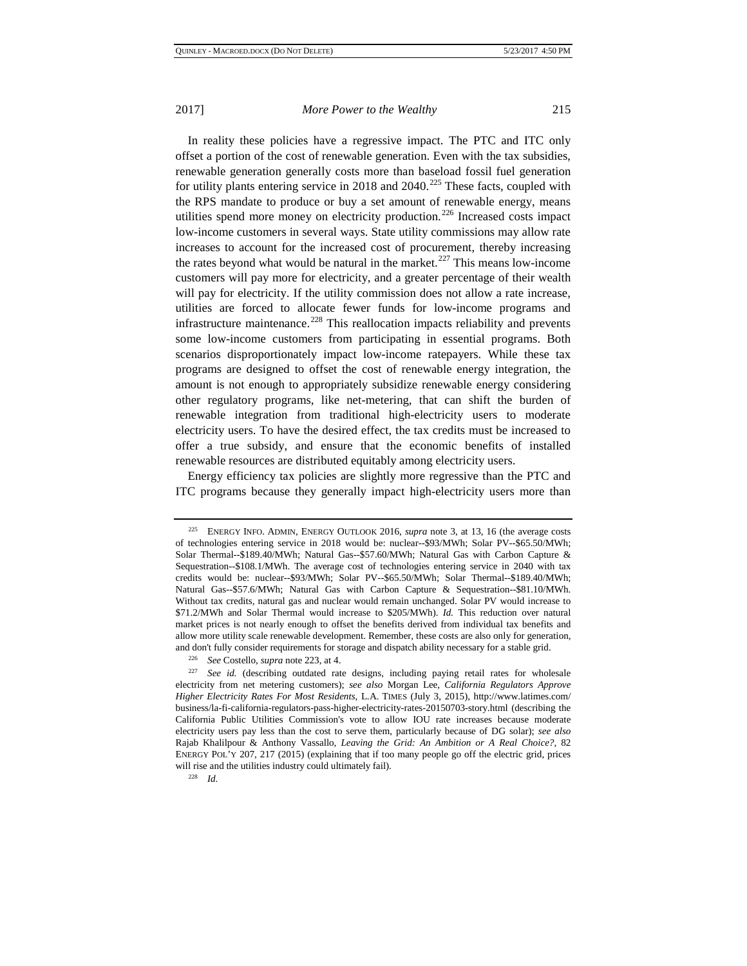In reality these policies have a regressive impact. The PTC and ITC only offset a portion of the cost of renewable generation. Even with the tax subsidies, renewable generation generally costs more than baseload fossil fuel generation for utility plants entering service in 2018 and  $2040$ .<sup>[225](#page-30-0)</sup> These facts, coupled with the RPS mandate to produce or buy a set amount of renewable energy, means utilities spend more money on electricity production.<sup>[226](#page-30-1)</sup> Increased costs impact low-income customers in several ways. State utility commissions may allow rate increases to account for the increased cost of procurement, thereby increasing the rates beyond what would be natural in the market.<sup>[227](#page-30-2)</sup> This means low-income customers will pay more for electricity, and a greater percentage of their wealth will pay for electricity. If the utility commission does not allow a rate increase, utilities are forced to allocate fewer funds for low-income programs and infrastructure maintenance.<sup>[228](#page-30-3)</sup> This reallocation impacts reliability and prevents some low-income customers from participating in essential programs. Both scenarios disproportionately impact low-income ratepayers. While these tax programs are designed to offset the cost of renewable energy integration, the amount is not enough to appropriately subsidize renewable energy considering other regulatory programs, like net-metering, that can shift the burden of renewable integration from traditional high-electricity users to moderate electricity users. To have the desired effect, the tax credits must be increased to offer a true subsidy, and ensure that the economic benefits of installed renewable resources are distributed equitably among electricity users.

Energy efficiency tax policies are slightly more regressive than the PTC and ITC programs because they generally impact high-electricity users more than

<span id="page-30-0"></span><sup>225</sup> ENERGY INFO. ADMIN, ENERGY OUTLOOK 2016, *supra* note 3, at 13, 16 (the average costs of technologies entering service in 2018 would be: nuclear--\$93/MWh; Solar PV--\$65.50/MWh; Solar Thermal--\$189.40/MWh; Natural Gas--\$57.60/MWh; Natural Gas with Carbon Capture & Sequestration--\$108.1/MWh. The average cost of technologies entering service in 2040 with tax credits would be: nuclear--\$93/MWh; Solar PV--\$65.50/MWh; Solar Thermal--\$189.40/MWh; Natural Gas--\$57.6/MWh; Natural Gas with Carbon Capture & Sequestration--\$81.10/MWh. Without tax credits, natural gas and nuclear would remain unchanged. Solar PV would increase to \$71.2/MWh and Solar Thermal would increase to \$205/MWh). *Id.* This reduction over natural market prices is not nearly enough to offset the benefits derived from individual tax benefits and allow more utility scale renewable development. Remember, these costs are also only for generation, and don't fully consider requirements for storage and dispatch ability necessary for a stable grid.

<sup>226</sup> *See* Costello, *supra* note 223, at 4.

<span id="page-30-2"></span><span id="page-30-1"></span><sup>227</sup> *See id.* (describing outdated rate designs, including paying retail rates for wholesale electricity from net metering customers); *see also* Morgan Lee, *California Regulators Approve Higher Electricity Rates For Most Residents,* L.A. TIMES (July 3, 2015), http://www.latimes.com/ business/la-fi-california-regulators-pass-higher-electricity-rates-20150703-story.html (describing the California Public Utilities Commission's vote to allow IOU rate increases because moderate electricity users pay less than the cost to serve them, particularly because of DG solar); *see also*  Rajab Khalilpour & Anthony Vassallo, *Leaving the Grid: An Ambition or A Real Choice?*, 82 ENERGY POL'Y 207, 217 (2015) (explaining that if too many people go off the electric grid, prices will rise and the utilities industry could ultimately fail). 228 *Id.*

<span id="page-30-3"></span>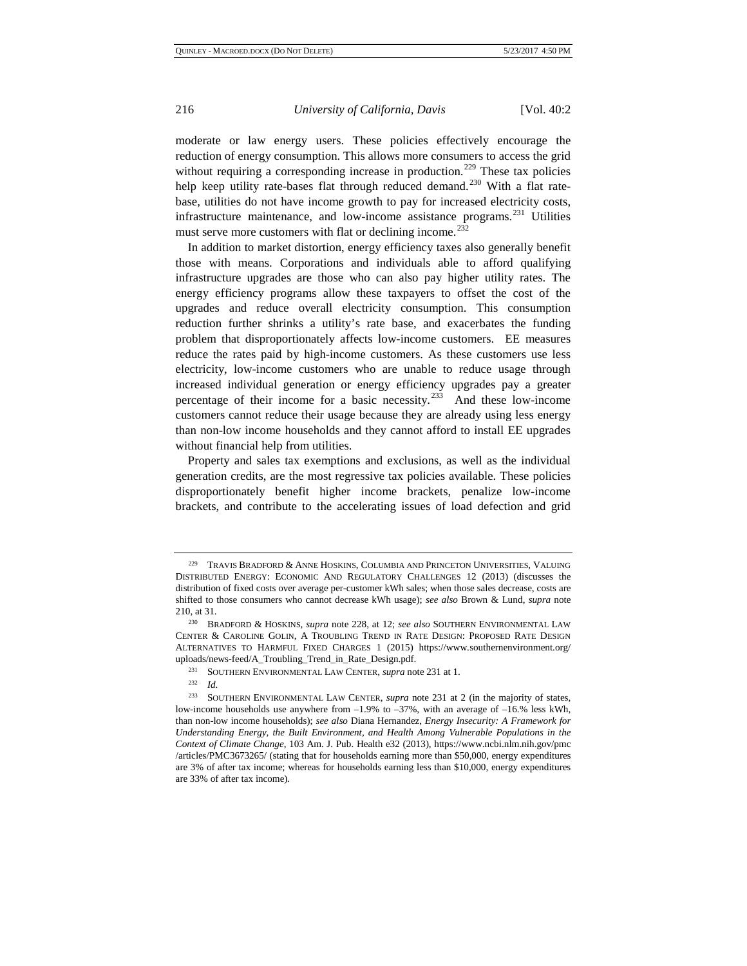moderate or law energy users. These policies effectively encourage the reduction of energy consumption. This allows more consumers to access the grid without requiring a corresponding increase in production.<sup>[229](#page-31-0)</sup> These tax policies help keep utility rate-bases flat through reduced demand.<sup>[230](#page-31-1)</sup> With a flat ratebase, utilities do not have income growth to pay for increased electricity costs, infrastructure maintenance, and low-income assistance programs. $^{231}$  $^{231}$  $^{231}$  Utilities must serve more customers with flat or declining income.<sup>[232](#page-31-3)</sup>

In addition to market distortion, energy efficiency taxes also generally benefit those with means. Corporations and individuals able to afford qualifying infrastructure upgrades are those who can also pay higher utility rates. The energy efficiency programs allow these taxpayers to offset the cost of the upgrades and reduce overall electricity consumption. This consumption reduction further shrinks a utility's rate base, and exacerbates the funding problem that disproportionately affects low-income customers. EE measures reduce the rates paid by high-income customers. As these customers use less electricity, low-income customers who are unable to reduce usage through increased individual generation or energy efficiency upgrades pay a greater percentage of their income for a basic necessity.[233](#page-31-4) And these low-income customers cannot reduce their usage because they are already using less energy than non-low income households and they cannot afford to install EE upgrades without financial help from utilities.

Property and sales tax exemptions and exclusions, as well as the individual generation credits, are the most regressive tax policies available. These policies disproportionately benefit higher income brackets, penalize low-income brackets, and contribute to the accelerating issues of load defection and grid

<span id="page-31-0"></span> $^{229}$  TRAVIS BRADFORD & ANNE HOSKINS, COLUMBIA AND PRINCETON UNIVERSITIES, VALUING DISTRIBUTED ENERGY: ECONOMIC AND REGULATORY CHALLENGES 12 (2013) (discusses the distribution of fixed costs over average per-customer kWh sales; when those sales decrease, costs are shifted to those consumers who cannot decrease kWh usage); *see also* Brown & Lund, *supra* note 210, at 31.

<span id="page-31-1"></span><sup>230</sup> BRADFORD & HOSKINS, *supra* note 228, at 12; *see also* SOUTHERN ENVIRONMENTAL LAW CENTER & CAROLINE GOLIN, A TROUBLING TREND IN RATE DESIGN: PROPOSED RATE DESIGN ALTERNATIVES TO HARMFUL FIXED CHARGES 1 (2015) https://www.southernenvironment.org/ uploads/news-feed/A\_Troubling\_Trend\_in\_Rate\_Design.pdf.

<sup>231</sup> SOUTHERN ENVIRONMENTAL LAW CENTER, *supra* note 231 at 1. 232 *Id.* 

<span id="page-31-4"></span><span id="page-31-3"></span><span id="page-31-2"></span><sup>233</sup> SOUTHERN ENVIRONMENTAL LAW CENTER, *supra* note 231 at 2 (in the majority of states, low-income households use anywhere from –1.9% to –37%, with an average of –16.% less kWh, than non-low income households); *see also* Diana Hernandez, *Energy Insecurity: A Framework for Understanding Energy, the Built Environment, and Health Among Vulnerable Populations in the Context of Climate Change*, 103 Am. J. Pub. Health e32 (2013), https://www.ncbi.nlm.nih.gov/pmc /articles/PMC3673265/ (stating that for households earning more than \$50,000, energy expenditures are 3% of after tax income; whereas for households earning less than \$10,000, energy expenditures are 33% of after tax income).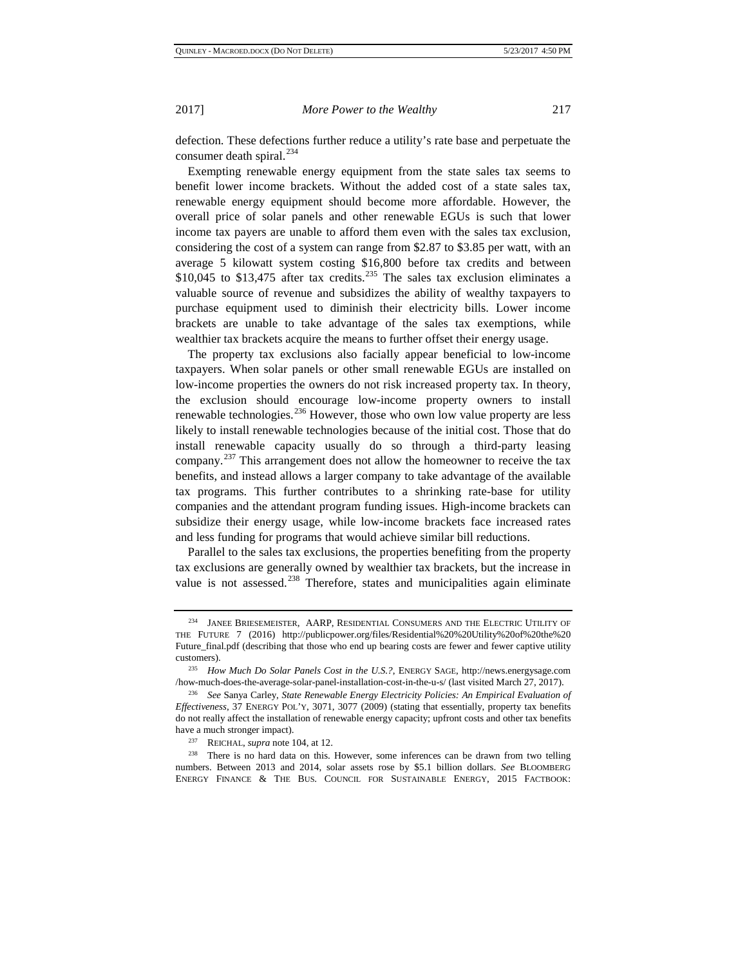defection. These defections further reduce a utility's rate base and perpetuate the consumer death spiral. $^{234}$  $^{234}$  $^{234}$ 

Exempting renewable energy equipment from the state sales tax seems to benefit lower income brackets. Without the added cost of a state sales tax, renewable energy equipment should become more affordable. However, the overall price of solar panels and other renewable EGUs is such that lower income tax payers are unable to afford them even with the sales tax exclusion, considering the cost of a system can range from \$2.87 to \$3.85 per watt, with an average 5 kilowatt system costing \$16,800 before tax credits and between \$10,045 to \$13,475 after tax credits.<sup>[235](#page-32-1)</sup> The sales tax exclusion eliminates a valuable source of revenue and subsidizes the ability of wealthy taxpayers to purchase equipment used to diminish their electricity bills. Lower income brackets are unable to take advantage of the sales tax exemptions, while wealthier tax brackets acquire the means to further offset their energy usage.

The property tax exclusions also facially appear beneficial to low-income taxpayers. When solar panels or other small renewable EGUs are installed on low-income properties the owners do not risk increased property tax. In theory, the exclusion should encourage low-income property owners to install renewable technologies. $^{236}$  $^{236}$  $^{236}$  However, those who own low value property are less likely to install renewable technologies because of the initial cost. Those that do install renewable capacity usually do so through a third-party leasing company.<sup>[237](#page-32-3)</sup> This arrangement does not allow the homeowner to receive the tax benefits, and instead allows a larger company to take advantage of the available tax programs. This further contributes to a shrinking rate-base for utility companies and the attendant program funding issues. High-income brackets can subsidize their energy usage, while low-income brackets face increased rates and less funding for programs that would achieve similar bill reductions.

Parallel to the sales tax exclusions, the properties benefiting from the property tax exclusions are generally owned by wealthier tax brackets, but the increase in value is not assessed.<sup>[238](#page-32-4)</sup> Therefore, states and municipalities again eliminate

<span id="page-32-0"></span><sup>234</sup> JANEE BRIESEMEISTER, AARP, RESIDENTIAL CONSUMERS AND THE ELECTRIC UTILITY OF THE FUTURE 7 (2016) http://publicpower.org/files/Residential%20%20Utility%20of%20the%20 Future\_final.pdf (describing that those who end up bearing costs are fewer and fewer captive utility customers).

<span id="page-32-1"></span><sup>235</sup> *How Much Do Solar Panels Cost in the U.S.?*, ENERGY SAGE, http://news.energysage.com /how-much-does-the-average-solar-panel-installation-cost-in-the-u-s/ (last visited March 27, 2017).

<span id="page-32-2"></span><sup>236</sup> *See* Sanya Carley, *State Renewable Energy Electricity Policies: An Empirical Evaluation of Effectiveness*, 37 ENERGY POL'Y, 3071, 3077 (2009) (stating that essentially, property tax benefits do not really affect the installation of renewable energy capacity; upfront costs and other tax benefits have a much stronger impact).

<span id="page-32-4"></span><span id="page-32-3"></span><sup>&</sup>lt;sup>237</sup> REICHAL, *supra* note 104, at 12.<br><sup>238</sup> There is no hard data on this. However, some inferences can be drawn from two telling numbers. Between 2013 and 2014, solar assets rose by \$5.1 billion dollars. *See* BLOOMBERG ENERGY FINANCE & THE BUS. COUNCIL FOR SUSTAINABLE ENERGY, 2015 FACTBOOK: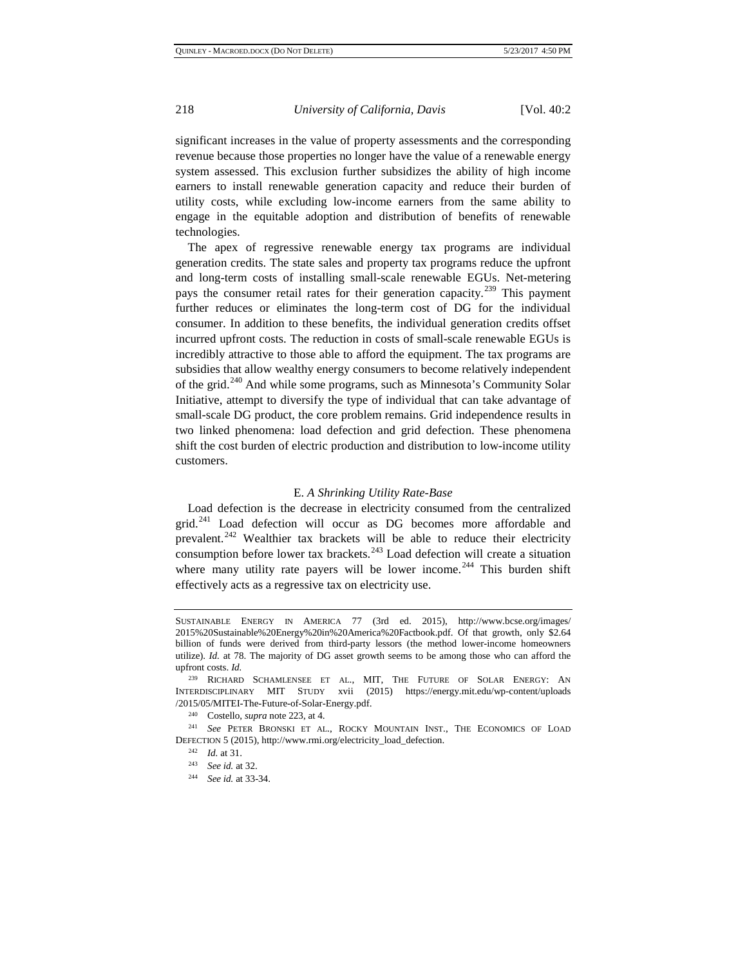significant increases in the value of property assessments and the corresponding revenue because those properties no longer have the value of a renewable energy system assessed. This exclusion further subsidizes the ability of high income earners to install renewable generation capacity and reduce their burden of utility costs, while excluding low-income earners from the same ability to engage in the equitable adoption and distribution of benefits of renewable technologies.

The apex of regressive renewable energy tax programs are individual generation credits. The state sales and property tax programs reduce the upfront and long-term costs of installing small-scale renewable EGUs. Net-metering pays the consumer retail rates for their generation capacity.<sup>[239](#page-33-0)</sup> This payment further reduces or eliminates the long-term cost of DG for the individual consumer. In addition to these benefits, the individual generation credits offset incurred upfront costs. The reduction in costs of small-scale renewable EGUs is incredibly attractive to those able to afford the equipment. The tax programs are subsidies that allow wealthy energy consumers to become relatively independent of the grid.<sup>[240](#page-33-1)</sup> And while some programs, such as Minnesota's Community Solar Initiative, attempt to diversify the type of individual that can take advantage of small-scale DG product, the core problem remains. Grid independence results in two linked phenomena: load defection and grid defection. These phenomena shift the cost burden of electric production and distribution to low-income utility customers.

#### E. *A Shrinking Utility Rate-Base*

Load defection is the decrease in electricity consumed from the centralized grid.<sup>[241](#page-33-2)</sup> Load defection will occur as DG becomes more affordable and prevalent. $242$  Wealthier tax brackets will be able to reduce their electricity consumption before lower tax brackets.<sup>[243](#page-33-4)</sup> Load defection will create a situation where many utility rate payers will be lower income.<sup>[244](#page-33-5)</sup> This burden shift effectively acts as a regressive tax on electricity use.

SUSTAINABLE ENERGY IN AMERICA 77 (3rd ed. 2015), http://www.bcse.org/images/ 2015%20Sustainable%20Energy%20in%20America%20Factbook.pdf. Of that growth, only \$2.64 billion of funds were derived from third-party lessors (the method lower-income homeowners utilize). *Id.* at 78. The majority of DG asset growth seems to be among those who can afford the upfront costs. *Id.* 239 RICHARD SCHAMLENSEE ET AL., MIT, THE FUTURE OF SOLAR ENERGY: AN

<span id="page-33-0"></span>INTERDISCIPLINARY MIT STUDY xvii (2015) https://energy.mit.edu/wp-content/uploads /2015/05/MITEI-The-Future-of-Solar-Energy.pdf.

<span id="page-33-5"></span><span id="page-33-4"></span><span id="page-33-3"></span><span id="page-33-2"></span><span id="page-33-1"></span><sup>&</sup>lt;sup>240</sup> Costello, *supra* note 223, at 4.<br><sup>241</sup> *See* PETER BRONSKI ET AL., ROCKY MOUNTAIN INST., THE ECONOMICS OF LOAD DEFECTION 5 (2015), http://www.rmi.org/electricity\_load\_defection. 242 *Id.* at 31. 243 *See id.* at 32. 244 *See id.* at 33-34.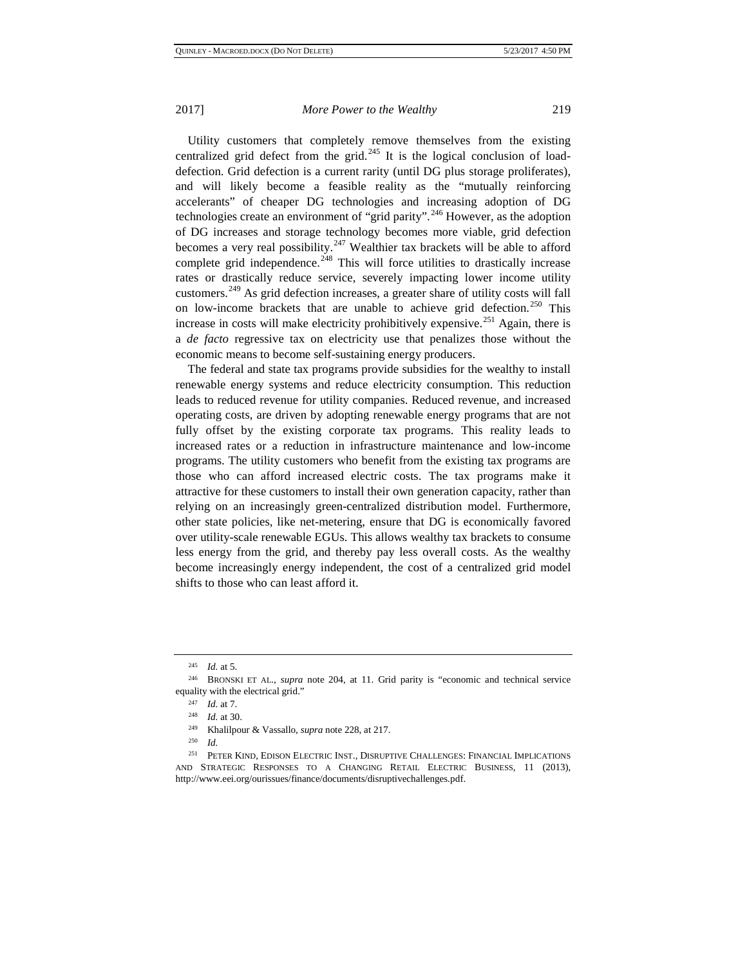Utility customers that completely remove themselves from the existing centralized grid defect from the grid.<sup>[245](#page-34-0)</sup> It is the logical conclusion of loaddefection. Grid defection is a current rarity (until DG plus storage proliferates), and will likely become a feasible reality as the "mutually reinforcing accelerants" of cheaper DG technologies and increasing adoption of DG technologies create an environment of "grid parity".<sup>[246](#page-34-1)</sup> However, as the adoption of DG increases and storage technology becomes more viable, grid defection becomes a very real possibility.<sup>[247](#page-34-2)</sup> Wealthier tax brackets will be able to afford complete grid independence.<sup>[248](#page-34-3)</sup> This will force utilities to drastically increase rates or drastically reduce service, severely impacting lower income utility customers.[249](#page-34-4) As grid defection increases, a greater share of utility costs will fall on low-income brackets that are unable to achieve grid defection.<sup>[250](#page-34-5)</sup> This increase in costs will make electricity prohibitively expensive.<sup>[251](#page-34-6)</sup> Again, there is a *de facto* regressive tax on electricity use that penalizes those without the economic means to become self-sustaining energy producers.

The federal and state tax programs provide subsidies for the wealthy to install renewable energy systems and reduce electricity consumption. This reduction leads to reduced revenue for utility companies. Reduced revenue, and increased operating costs, are driven by adopting renewable energy programs that are not fully offset by the existing corporate tax programs. This reality leads to increased rates or a reduction in infrastructure maintenance and low-income programs. The utility customers who benefit from the existing tax programs are those who can afford increased electric costs. The tax programs make it attractive for these customers to install their own generation capacity, rather than relying on an increasingly green-centralized distribution model. Furthermore, other state policies, like net-metering, ensure that DG is economically favored over utility-scale renewable EGUs. This allows wealthy tax brackets to consume less energy from the grid, and thereby pay less overall costs. As the wealthy become increasingly energy independent, the cost of a centralized grid model shifts to those who can least afford it.

<sup>245</sup> *Id.* at 5.

<span id="page-34-3"></span><span id="page-34-2"></span><span id="page-34-1"></span><span id="page-34-0"></span><sup>246</sup> BRONSKI ET AL., *supra* note 204, at 11. Grid parity is "economic and technical service equality with the electrical grid."

<sup>247</sup> *Id.* at 7. 248 *Id.* at 30.

<sup>249</sup> Khalilpour & Vassallo, *supra* note 228, at 217.

*Id.* 

<span id="page-34-6"></span><span id="page-34-5"></span><span id="page-34-4"></span><sup>251</sup> PETER KIND, EDISON ELECTRIC INST., DISRUPTIVE CHALLENGES: FINANCIAL IMPLICATIONS AND STRATEGIC RESPONSES TO A CHANGING RETAIL ELECTRIC BUSINESS, 11 (2013), http://www.eei.org/ourissues/finance/documents/disruptivechallenges.pdf.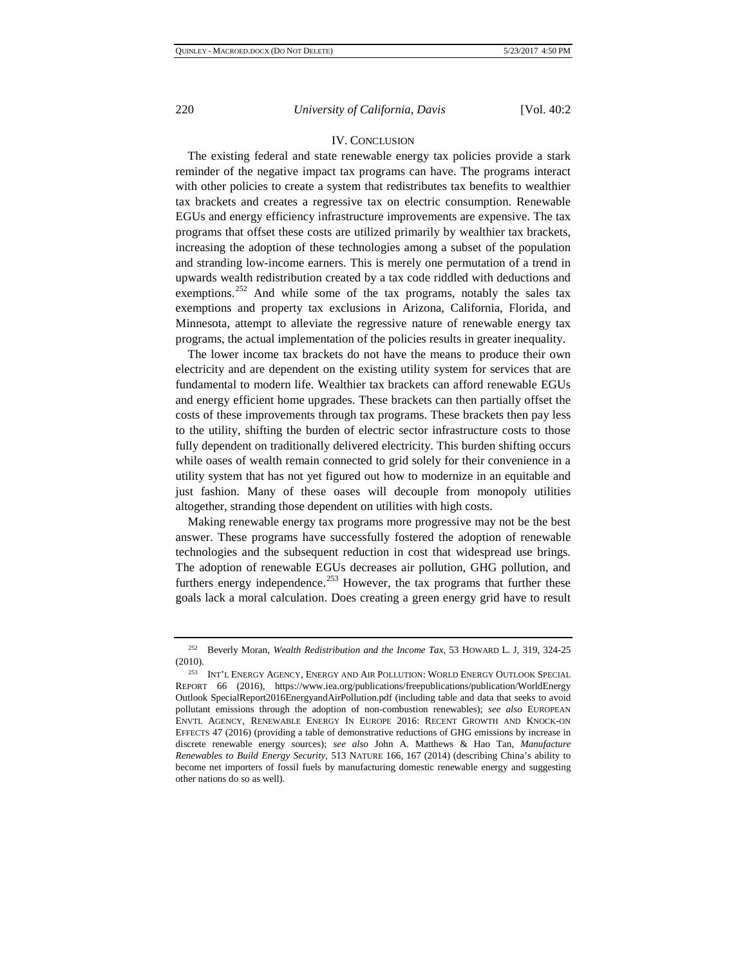### IV. CONCLUSION

The existing federal and state renewable energy tax policies provide a stark reminder of the negative impact tax programs can have. The programs interact with other policies to create a system that redistributes tax benefits to wealthier tax brackets and creates a regressive tax on electric consumption. Renewable EGUs and energy efficiency infrastructure improvements are expensive. The tax programs that offset these costs are utilized primarily by wealthier tax brackets, increasing the adoption of these technologies among a subset of the population and stranding low-income earners. This is merely one permutation of a trend in upwards wealth redistribution created by a tax code riddled with deductions and exemptions.<sup>[252](#page-35-0)</sup> And while some of the tax programs, notably the sales tax exemptions and property tax exclusions in Arizona, California, Florida, and Minnesota, attempt to alleviate the regressive nature of renewable energy tax programs, the actual implementation of the policies results in greater inequality.

The lower income tax brackets do not have the means to produce their own electricity and are dependent on the existing utility system for services that are fundamental to modern life. Wealthier tax brackets can afford renewable EGUs and energy efficient home upgrades. These brackets can then partially offset the costs of these improvements through tax programs. These brackets then pay less to the utility, shifting the burden of electric sector infrastructure costs to those fully dependent on traditionally delivered electricity. This burden shifting occurs while oases of wealth remain connected to grid solely for their convenience in a utility system that has not yet figured out how to modernize in an equitable and just fashion. Many of these oases will decouple from monopoly utilities altogether, stranding those dependent on utilities with high costs.

Making renewable energy tax programs more progressive may not be the best answer. These programs have successfully fostered the adoption of renewable technologies and the subsequent reduction in cost that widespread use brings. The adoption of renewable EGUs decreases air pollution, GHG pollution, and furthers energy independence.<sup>[253](#page-35-1)</sup> However, the tax programs that further these goals lack a moral calculation. Does creating a green energy grid have to result

<span id="page-35-0"></span><sup>252</sup> Beverly Moran, *Wealth Redistribution and the Income Tax*, 53 HOWARD L. J, 319, 324-25 (2010).

<span id="page-35-1"></span><sup>253</sup> INT'L ENERGY AGENCY, ENERGY AND AIR POLLUTION: WORLD ENERGY OUTLOOK SPECIAL REPORT 66 (2016), https://www.iea.org/publications/freepublications/publication/WorldEnergy Outlook SpecialReport2016EnergyandAirPollution.pdf (including table and data that seeks to avoid pollutant emissions through the adoption of non-combustion renewables); *see also* EUROPEAN ENVTL AGENCY, RENEWABLE ENERGY IN EUROPE 2016: RECENT GROWTH AND KNOCK-ON EFFECTS 47 (2016) (providing a table of demonstrative reductions of GHG emissions by increase in discrete renewable energy sources); *see also* John A. Matthews & Hao Tan, *Manufacture Renewables to Build Energy Security*, 513 NATURE 166, 167 (2014) (describing China's ability to become net importers of fossil fuels by manufacturing domestic renewable energy and suggesting other nations do so as well).